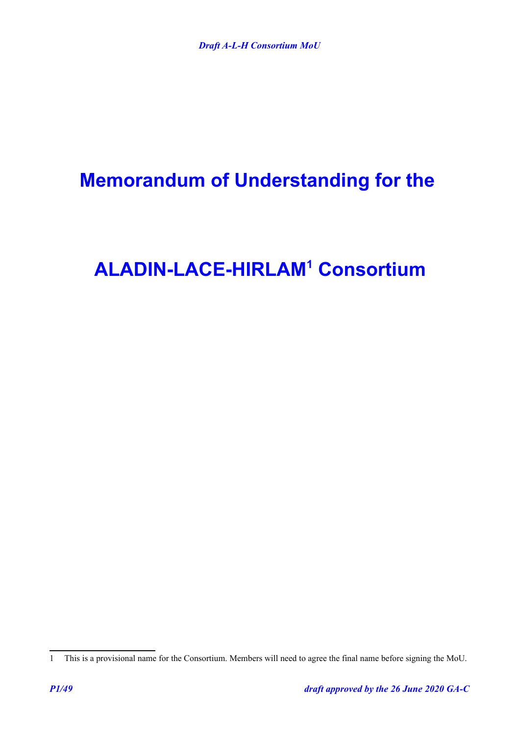# **Memorandum of Understanding for the**

# **ALADIN-LACE-HIRLAM[1](#page-0-0) Consortium**

<span id="page-0-0"></span><sup>1</sup> This is a provisional name for the Consortium. Members will need to agree the final name before signing the MoU.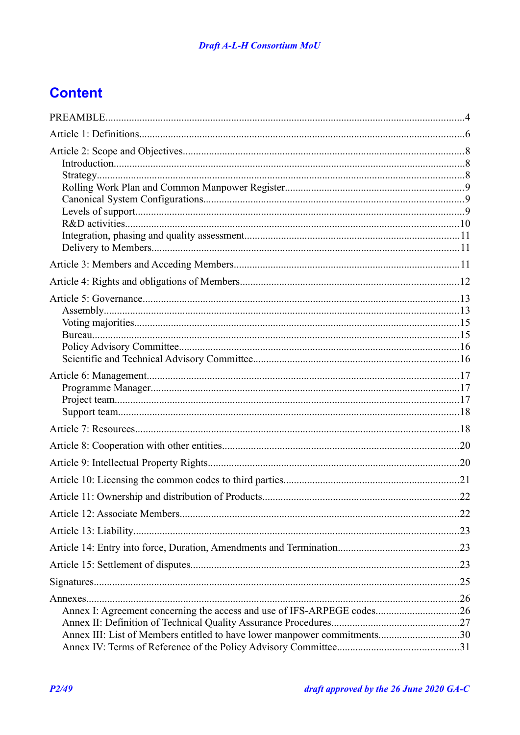## **Content**

| Annex I: Agreement concerning the access and use of IFS-ARPEGE codes26<br>Annex III: List of Members entitled to have lower manpower commitments30 |  |
|----------------------------------------------------------------------------------------------------------------------------------------------------|--|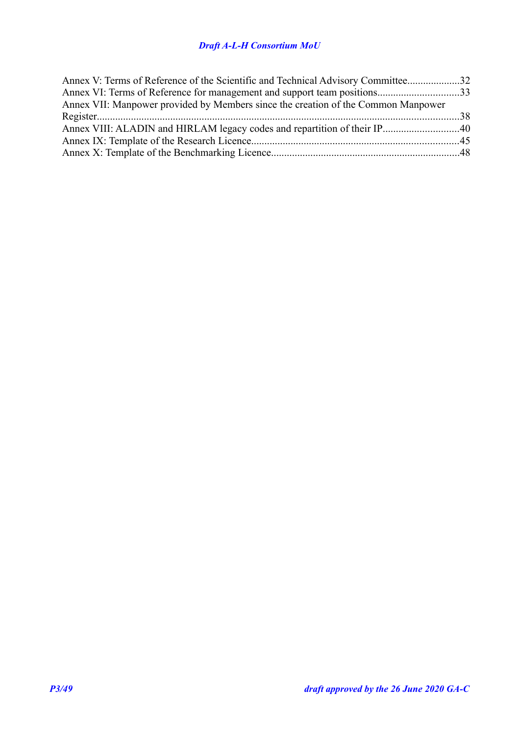### *Draft A-L-H Consortium MoU*

| Annex V: Terms of Reference of the Scientific and Technical Advisory Committee32  |  |
|-----------------------------------------------------------------------------------|--|
| Annex VI: Terms of Reference for management and support team positions33          |  |
| Annex VII: Manpower provided by Members since the creation of the Common Manpower |  |
|                                                                                   |  |
|                                                                                   |  |
|                                                                                   |  |
|                                                                                   |  |
|                                                                                   |  |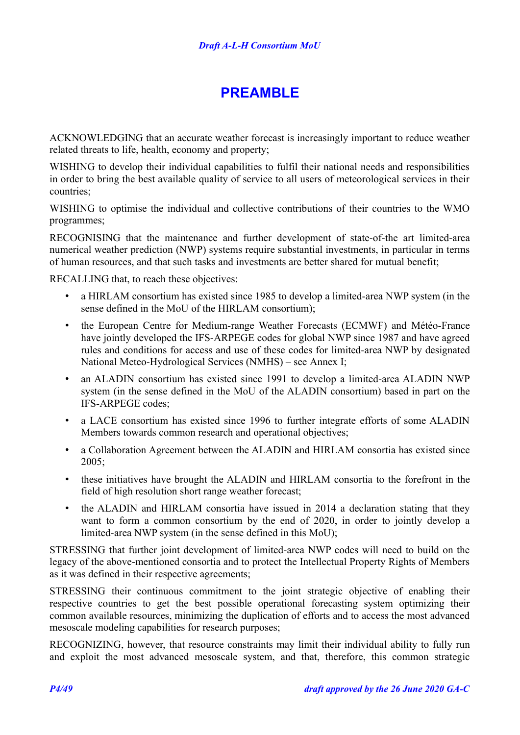## <span id="page-3-0"></span>**PREAMBLE**

ACKNOWLEDGING that an accurate weather forecast is increasingly important to reduce weather related threats to life, health, economy and property;

WISHING to develop their individual capabilities to fulfil their national needs and responsibilities in order to bring the best available quality of service to all users of meteorological services in their countries;

WISHING to optimise the individual and collective contributions of their countries to the WMO programmes;

RECOGNISING that the maintenance and further development of state-of-the art limited-area numerical weather prediction (NWP) systems require substantial investments, in particular in terms of human resources, and that such tasks and investments are better shared for mutual benefit;

RECALLING that, to reach these objectives:

- a HIRLAM consortium has existed since 1985 to develop a limited-area NWP system (in the sense defined in the MoU of the HIRLAM consortium);
- the European Centre for Medium-range Weather Forecasts (ECMWF) and Météo-France have jointly developed the IFS-ARPEGE codes for global NWP since 1987 and have agreed rules and conditions for access and use of these codes for limited-area NWP by designated National Meteo-Hydrological Services (NMHS) – see [Annex I;](#page-25-0)
- an ALADIN consortium has existed since 1991 to develop a limited-area ALADIN NWP system (in the sense defined in the MoU of the ALADIN consortium) based in part on the IFS-ARPEGE codes;
- a LACE consortium has existed since 1996 to further integrate efforts of some ALADIN Members towards common research and operational objectives;
- a Collaboration Agreement between the ALADIN and HIRLAM consortia has existed since 2005;
- these initiatives have brought the ALADIN and HIRLAM consortia to the forefront in the field of high resolution short range weather forecast;
- the ALADIN and HIRLAM consortia have issued in 2014 a declaration stating that they want to form a common consortium by the end of 2020, in order to jointly develop a limited-area NWP system (in the sense defined in this MoU);

STRESSING that further joint development of limited-area NWP codes will need to build on the legacy of the above-mentioned consortia and to protect the Intellectual Property Rights of Members as it was defined in their respective agreements;

STRESSING their continuous commitment to the joint strategic objective of enabling their respective countries to get the best possible operational forecasting system optimizing their common available resources, minimizing the duplication of efforts and to access the most advanced mesoscale modeling capabilities for research purposes;

RECOGNIZING, however, that resource constraints may limit their individual ability to fully run and exploit the most advanced mesoscale system, and that, therefore, this common strategic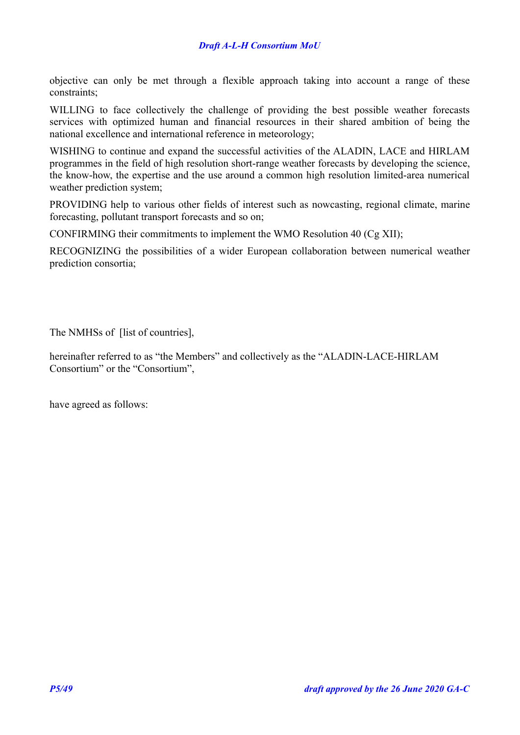objective can only be met through a flexible approach taking into account a range of these constraints;

WILLING to face collectively the challenge of providing the best possible weather forecasts services with optimized human and financial resources in their shared ambition of being the national excellence and international reference in meteorology;

WISHING to continue and expand the successful activities of the ALADIN, LACE and HIRLAM programmes in the field of high resolution short-range weather forecasts by developing the science, the know-how, the expertise and the use around a common high resolution limited-area numerical weather prediction system;

PROVIDING help to various other fields of interest such as nowcasting, regional climate, marine forecasting, pollutant transport forecasts and so on;

CONFIRMING their commitments to implement the WMO Resolution 40 (Cg XII);

RECOGNIZING the possibilities of a wider European collaboration between numerical weather prediction consortia;

The NMHSs of [list of countries],

hereinafter referred to as "the Members" and collectively as the "ALADIN-LACE-HIRLAM Consortium" or the "Consortium",

have agreed as follows: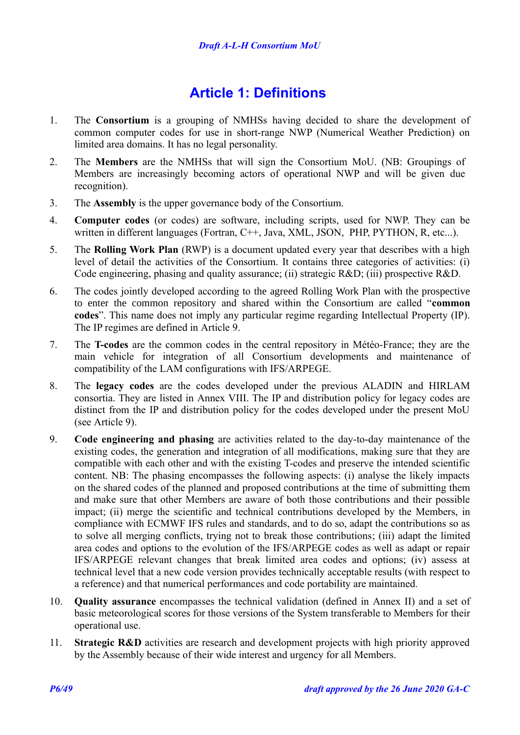## <span id="page-5-0"></span>**Article 1: Definitions**

- 1. The **Consortium** is a grouping of NMHSs having decided to share the development of common computer codes for use in short-range NWP (Numerical Weather Prediction) on limited area domains. It has no legal personality.
- 2. The **Members** are the NMHSs that will sign the Consortium MoU. (NB: Groupings of Members are increasingly becoming actors of operational NWP and will be given due recognition).
- 3. The **Assembly** is the upper governance body of the Consortium.
- 4. **Computer codes** (or codes) are software, including scripts, used for NWP. They can be written in different languages (Fortran, C++, Java, XML, JSON, PHP, PYTHON, R, etc...).
- 5. The **Rolling Work Plan** (RWP) is a document updated every year that describes with a high level of detail the activities of the Consortium. It contains three categories of activities: (i) Code engineering, phasing and quality assurance; (ii) strategic R&D; (iii) prospective R&D.
- 6. The codes jointly developed according to the agreed Rolling Work Plan with the prospective to enter the common repository and shared within the Consortium are called "**common codes**". This name does not imply any particular regime regarding Intellectual Property (IP). The IP regimes are defined in [Article 9.](#page-19-0)
- 7. The **T-codes** are the common codes in the central repository in Météo-France; they are the main vehicle for integration of all Consortium developments and maintenance of compatibility of the LAM configurations with IFS/ARPEGE.
- 8. The **legacy codes** are the codes developed under the previous ALADIN and HIRLAM consortia. They are listed in [Annex VIII.](#page-39-0) The IP and distribution policy for legacy codes are distinct from the IP and distribution policy for the codes developed under the present MoU (see [Article 9\)](#page-19-0).
- 9. **Code engineering and phasing** are activities related to the day-to-day maintenance of the existing codes, the generation and integration of all modifications, making sure that they are compatible with each other and with the existing T-codes and preserve the intended scientific content. NB: The phasing encompasses the following aspects: (i) analyse the likely impacts on the shared codes of the planned and proposed contributions at the time of submitting them and make sure that other Members are aware of both those contributions and their possible impact; (ii) merge the scientific and technical contributions developed by the Members, in compliance with ECMWF IFS rules and standards, and to do so, adapt the contributions so as to solve all merging conflicts, trying not to break those contributions; (iii) adapt the limited area codes and options to the evolution of the IFS/ARPEGE codes as well as adapt or repair IFS/ARPEGE relevant changes that break limited area codes and options; (iv) assess at technical level that a new code version provides technically acceptable results (with respect to a reference) and that numerical performances and code portability are maintained.
- 10. **Quality assurance** encompasses the technical validation (defined in [Annex II\)](#page-26-0) and a set of basic meteorological scores for those versions of the System transferable to Members for their operational use.
- 11. **Strategic R&D** activities are research and development projects with high priority approved by the Assembly because of their wide interest and urgency for all Members.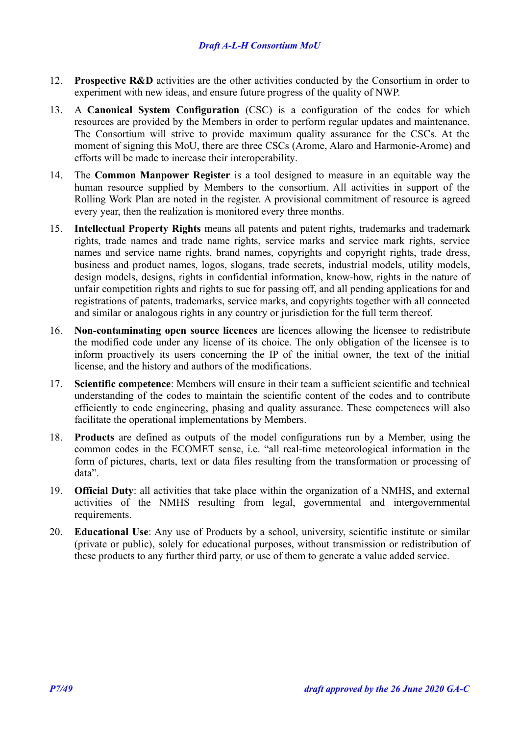- 12. **Prospective R&D** activities are the other activities conducted by the Consortium in order to experiment with new ideas, and ensure future progress of the quality of NWP.
- 13. A **Canonical System Configuration** (CSC) is a configuration of the codes for which resources are provided by the Members in order to perform regular updates and maintenance. The Consortium will strive to provide maximum quality assurance for the CSCs. At the moment of signing this MoU, there are three CSCs (Arome, Alaro and Harmonie-Arome) and efforts will be made to increase their interoperability.
- 14. The **Common Manpower Register** is a tool designed to measure in an equitable way the human resource supplied by Members to the consortium. All activities in support of the Rolling Work Plan are noted in the register. A provisional commitment of resource is agreed every year, then the realization is monitored every three months.
- 15. **Intellectual Property Rights** means all patents and patent rights, trademarks and trademark rights, trade names and trade name rights, service marks and service mark rights, service names and service name rights, brand names, copyrights and copyright rights, trade dress, business and product names, logos, slogans, trade secrets, industrial models, utility models, design models, designs, rights in confidential information, know-how, rights in the nature of unfair competition rights and rights to sue for passing off, and all pending applications for and registrations of patents, trademarks, service marks, and copyrights together with all connected and similar or analogous rights in any country or jurisdiction for the full term thereof.
- 16. **Non-contaminating open source licences** are licences allowing the licensee to redistribute the modified code under any license of its choice. The only obligation of the licensee is to inform proactively its users concerning the IP of the initial owner, the text of the initial license, and the history and authors of the modifications.
- 17. **Scientific competence**: Members will ensure in their team a sufficient scientific and technical understanding of the codes to maintain the scientific content of the codes and to contribute efficiently to code engineering, phasing and quality assurance. These competences will also facilitate the operational implementations by Members.
- 18. **Products** are defined as outputs of the model configurations run by a Member, using the common codes in the ECOMET sense, i.e. "all real-time meteorological information in the form of pictures, charts, text or data files resulting from the transformation or processing of data".
- 19. **Official Duty**: all activities that take place within the organization of a NMHS, and external activities of the NMHS resulting from legal, governmental and intergovernmental requirements.
- 20. **Educational Use**: Any use of Products by a school, university, scientific institute or similar (private or public), solely for educational purposes, without transmission or redistribution of these products to any further third party, or use of them to generate a value added service.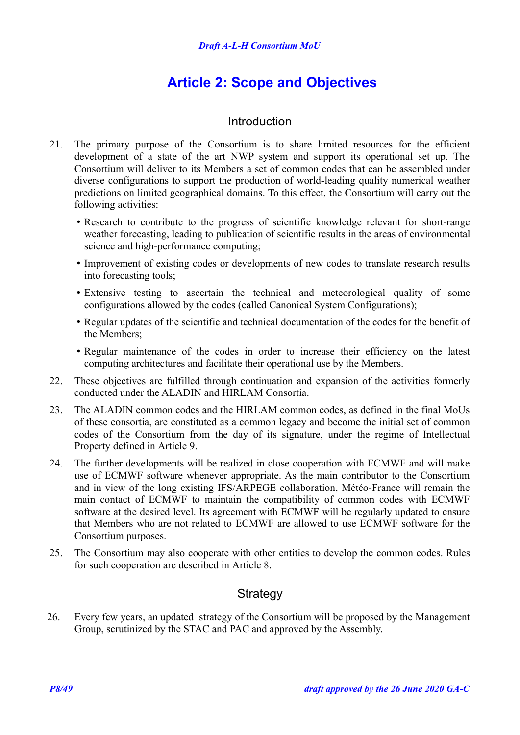## <span id="page-7-2"></span>**Article 2: Scope and Objectives**

### <span id="page-7-1"></span>Introduction

- 21. The primary purpose of the Consortium is to share limited resources for the efficient development of a state of the art NWP system and support its operational set up. The Consortium will deliver to its Members a set of common codes that can be assembled under diverse configurations to support the production of world-leading quality numerical weather predictions on limited geographical domains. To this effect, the Consortium will carry out the following activities:
	- Research to contribute to the progress of scientific knowledge relevant for short-range weather forecasting, leading to publication of scientific results in the areas of environmental science and high-performance computing;
	- Improvement of existing codes or developments of new codes to translate research results into forecasting tools;
	- Extensive testing to ascertain the technical and meteorological quality of some configurations allowed by the codes (called Canonical System Configurations);
	- Regular updates of the scientific and technical documentation of the codes for the benefit of the Members;
	- Regular maintenance of the codes in order to increase their efficiency on the latest computing architectures and facilitate their operational use by the Members.
- 22. These objectives are fulfilled through continuation and expansion of the activities formerly conducted under the ALADIN and HIRLAM Consortia.
- 23. The ALADIN common codes and the HIRLAM common codes, as defined in the final MoUs of these consortia, are constituted as a common legacy and become the initial set of common codes of the Consortium from the day of its signature, under the regime of Intellectual Property defined in [Article 9.](#page-19-0)
- 24. The further developments will be realized in close cooperation with ECMWF and will make use of ECMWF software whenever appropriate. As the main contributor to the Consortium and in view of the long existing IFS/ARPEGE collaboration, Météo-France will remain the main contact of ECMWF to maintain the compatibility of common codes with ECMWF software at the desired level. Its agreement with ECMWF will be regularly updated to ensure that Members who are not related to ECMWF are allowed to use ECMWF software for the Consortium purposes.
- 25. The Consortium may also cooperate with other entities to develop the common codes. Rules for such cooperation are described in [Article 8.](#page-19-1)

## <span id="page-7-0"></span>**Strategy**

26. Every few years, an updated strategy of the Consortium will be proposed by the Management Group, scrutinized by the STAC and PAC and approved by the Assembly.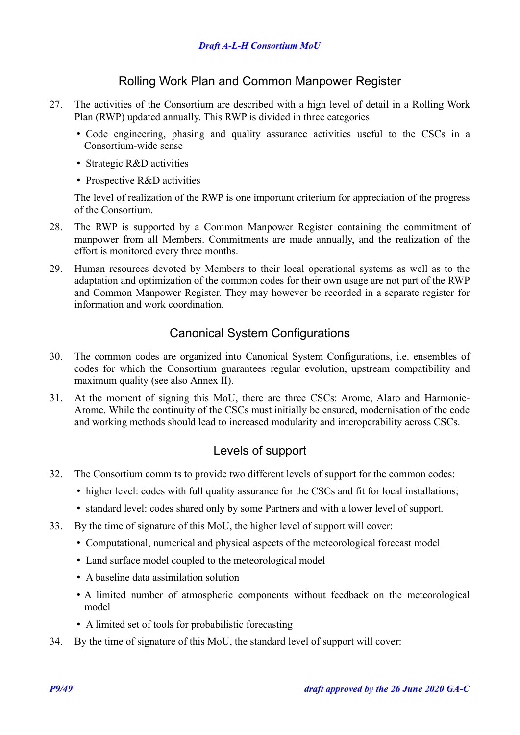### <span id="page-8-2"></span>Rolling Work Plan and Common Manpower Register

- 27. The activities of the Consortium are described with a high level of detail in a Rolling Work Plan (RWP) updated annually. This RWP is divided in three categories:
	- Code engineering, phasing and quality assurance activities useful to the CSCs in a Consortium-wide sense
	- Strategic R&D activities
	- Prospective R&D activities

The level of realization of the RWP is one important criterium for appreciation of the progress of the Consortium.

- 28. The RWP is supported by a Common Manpower Register containing the commitment of manpower from all Members. Commitments are made annually, and the realization of the effort is monitored every three months.
- 29. Human resources devoted by Members to their local operational systems as well as to the adaptation and optimization of the common codes for their own usage are not part of the RWP and Common Manpower Register. They may however be recorded in a separate register for information and work coordination.

## <span id="page-8-1"></span>Canonical System Configurations

- 30. The common codes are organized into Canonical System Configurations, i.e. ensembles of codes for which the Consortium guarantees regular evolution, upstream compatibility and maximum quality (see also [Annex II\)](#page-26-0).
- <span id="page-8-3"></span>31. At the moment of signing this MoU, there are three CSCs: Arome, Alaro and Harmonie-Arome. While the continuity of the CSCs must initially be ensured, modernisation of the code and working methods should lead to increased modularity and interoperability across CSCs.

### <span id="page-8-0"></span>Levels of support

- 32. The Consortium commits to provide two different levels of support for the common codes:
	- higher level: codes with full quality assurance for the CSCs and fit for local installations;
	- standard level: codes shared only by some Partners and with a lower level of support.
- 33. By the time of signature of this MoU, the higher level of support will cover:
	- Computational, numerical and physical aspects of the meteorological forecast model
	- Land surface model coupled to the meteorological model
	- A baseline data assimilation solution
	- A limited number of atmospheric components without feedback on the meteorological model
	- A limited set of tools for probabilistic forecasting
- 34. By the time of signature of this MoU, the standard level of support will cover: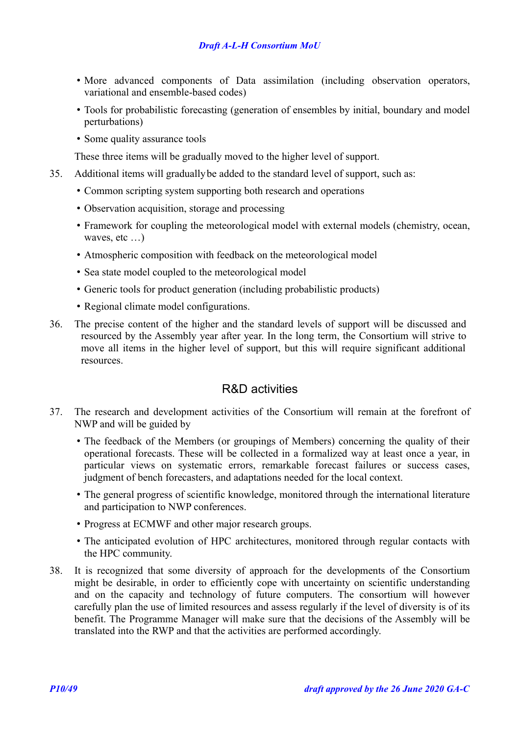- More advanced components of Data assimilation (including observation operators, variational and ensemble-based codes)
- Tools for probabilistic forecasting (generation of ensembles by initial, boundary and model perturbations)
- Some quality assurance tools

These three items will be gradually moved to the higher level of support.

- 35. Additional items will graduallybe added to the standard level of support, such as:
	- Common scripting system supporting both research and operations
	- Observation acquisition, storage and processing
	- Framework for coupling the meteorological model with external models (chemistry, ocean, waves, etc ...
	- Atmospheric composition with feedback on the meteorological model
	- Sea state model coupled to the meteorological model
	- Generic tools for product generation (including probabilistic products)
	- Regional climate model configurations.
- 36. The precise content of the higher and the standard levels of support will be discussed and resourced by the Assembly year after year. In the long term, the Consortium will strive to move all items in the higher level of support, but this will require significant additional resources.

## <span id="page-9-0"></span>R&D activities

- 37. The research and development activities of the Consortium will remain at the forefront of NWP and will be guided by
	- The feedback of the Members (or groupings of Members) concerning the quality of their operational forecasts. These will be collected in a formalized way at least once a year, in particular views on systematic errors, remarkable forecast failures or success cases, judgment of bench forecasters, and adaptations needed for the local context.
	- The general progress of scientific knowledge, monitored through the international literature and participation to NWP conferences.
	- Progress at ECMWF and other major research groups.
	- The anticipated evolution of HPC architectures, monitored through regular contacts with the HPC community.
- 38. It is recognized that some diversity of approach for the developments of the Consortium might be desirable, in order to efficiently cope with uncertainty on scientific understanding and on the capacity and technology of future computers. The consortium will however carefully plan the use of limited resources and assess regularly if the level of diversity is of its benefit. The Programme Manager will make sure that the decisions of the Assembly will be translated into the RWP and that the activities are performed accordingly.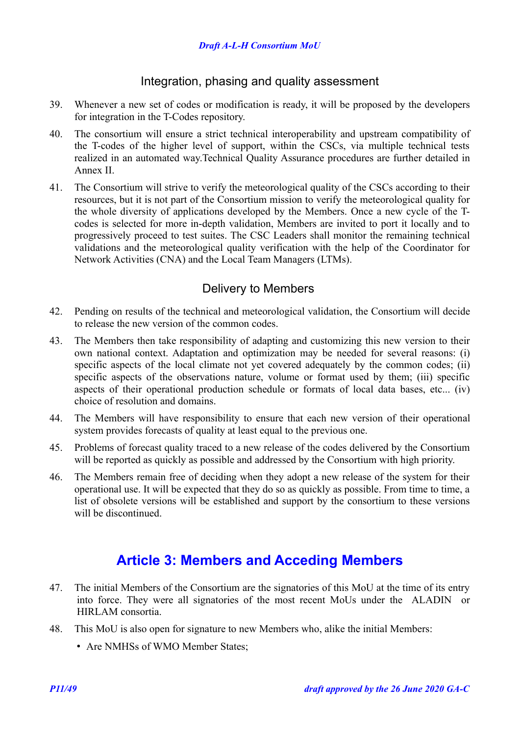### <span id="page-10-2"></span>Integration, phasing and quality assessment

- 39. Whenever a new set of codes or modification is ready, it will be proposed by the developers for integration in the T-Codes repository.
- 40. The consortium will ensure a strict technical interoperability and upstream compatibility of the T-codes of the higher level of support, within the CSCs, via multiple technical tests realized in an automated way.Technical Quality Assurance procedures are further detailed in [Annex II.](#page-26-0)
- 41. The Consortium will strive to verify the meteorological quality of the CSCs according to their resources, but it is not part of the Consortium mission to verify the meteorological quality for the whole diversity of applications developed by the Members. Once a new cycle of the Tcodes is selected for more in-depth validation, Members are invited to port it locally and to progressively proceed to test suites. The CSC Leaders shall monitor the remaining technical validations and the meteorological quality verification with the help of the Coordinator for Network Activities (CNA) and the Local Team Managers (LTMs).

### <span id="page-10-1"></span>Delivery to Members

- 42. Pending on results of the technical and meteorological validation, the Consortium will decide to release the new version of the common codes.
- 43. The Members then take responsibility of adapting and customizing this new version to their own national context. Adaptation and optimization may be needed for several reasons: (i) specific aspects of the local climate not yet covered adequately by the common codes; (ii) specific aspects of the observations nature, volume or format used by them; (iii) specific aspects of their operational production schedule or formats of local data bases, etc... (iv) choice of resolution and domains.
- 44. The Members will have responsibility to ensure that each new version of their operational system provides forecasts of quality at least equal to the previous one.
- 45. Problems of forecast quality traced to a new release of the codes delivered by the Consortium will be reported as quickly as possible and addressed by the Consortium with high priority.
- 46. The Members remain free of deciding when they adopt a new release of the system for their operational use. It will be expected that they do so as quickly as possible. From time to time, a list of obsolete versions will be established and support by the consortium to these versions will be discontinued.

## <span id="page-10-0"></span>**Article 3: Members and Acceding Members**

- 47. The initial Members of the Consortium are the signatories of this MoU at the time of its entry into force. They were all signatories of the most recent MoUs under the ALADIN or HIRLAM consortia.
- 48. This MoU is also open for signature to new Members who, alike the initial Members:
	- Are NMHSs of WMO Member States;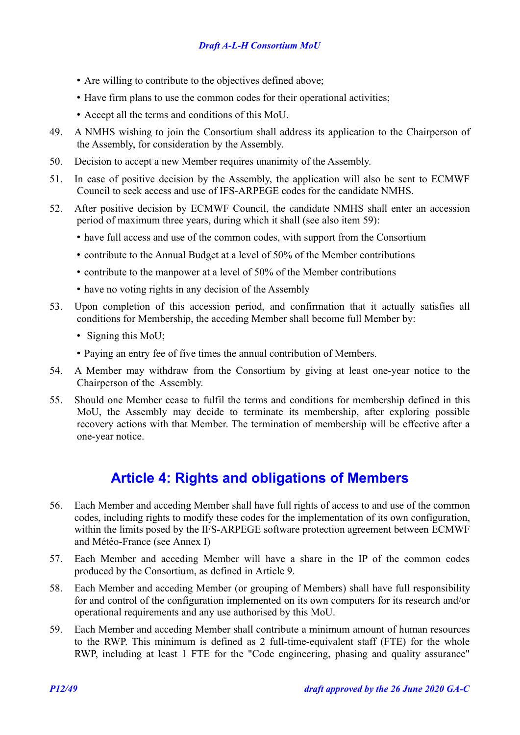### *Draft A-L-H Consortium MoU*

- Are willing to contribute to the objectives defined above;
- Have firm plans to use the common codes for their operational activities;
- Accept all the terms and conditions of this MoU.
- 49. A NMHS wishing to join the Consortium shall address its application to the Chairperson of the Assembly, for consideration by the Assembly.
- <span id="page-11-2"></span>50. Decision to accept a new Member requires unanimity of the Assembly.
- 51. In case of positive decision by the Assembly, the application will also be sent to ECMWF Council to seek access and use of IFS-ARPEGE codes for the candidate NMHS.
- 52. After positive decision by ECMWF Council, the candidate NMHS shall enter an accession period of maximum three years, during which it shall (see also item [59\)](#page-11-1):
	- have full access and use of the common codes, with support from the Consortium
	- contribute to the Annual Budget at a level of 50% of the Member contributions
	- contribute to the manpower at a level of 50% of the Member contributions
	- have no voting rights in any decision of the Assembly
- 53. Upon completion of this accession period, and confirmation that it actually satisfies all conditions for Membership, the acceding Member shall become full Member by:
	- Signing this MoU;
	- Paying an entry fee of five times the annual contribution of Members.
- 54. A Member may withdraw from the Consortium by giving at least one-year notice to the Chairperson of the Assembly.
- 55. Should one Member cease to fulfil the terms and conditions for membership defined in this MoU, the Assembly may decide to terminate its membership, after exploring possible recovery actions with that Member. The termination of membership will be effective after a one-year notice.

## <span id="page-11-0"></span>**Article 4: Rights and obligations of Members**

- 56. Each Member and acceding Member shall have full rights of access to and use of the common codes, including rights to modify these codes for the implementation of its own configuration, within the limits posed by the IFS-ARPEGE software protection agreement between ECMWF and Météo-France (see [Annex I\)](#page-25-0)
- 57. Each Member and acceding Member will have a share in the IP of the common codes produced by the Consortium, as defined in [Article 9.](#page-19-0)
- 58. Each Member and acceding Member (or grouping of Members) shall have full responsibility for and control of the configuration implemented on its own computers for its research and/or operational requirements and any use authorised by this MoU.
- <span id="page-11-1"></span>59. Each Member and acceding Member shall contribute a minimum amount of human resources to the RWP. This minimum is defined as 2 full-time-equivalent staff (FTE) for the whole RWP, including at least 1 FTE for the "Code engineering, phasing and quality assurance"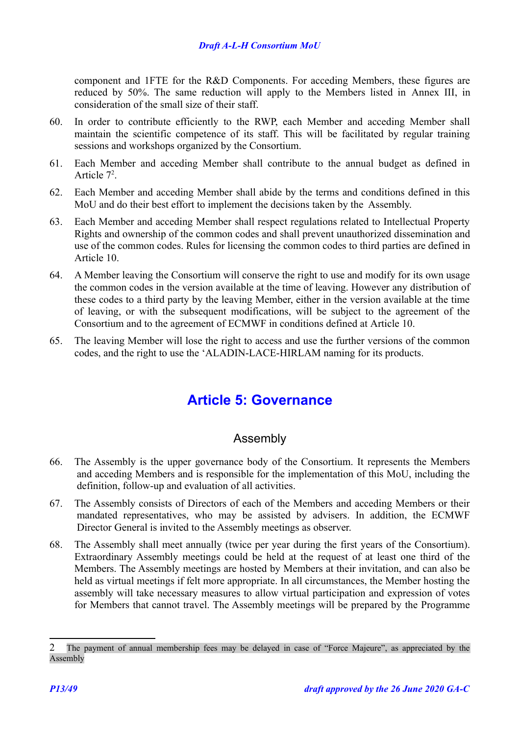component and 1FTE for the R&D Components. For acceding Members, these figures are reduced by 50%. The same reduction will apply to the Members listed in [Annex III,](#page-29-0) in consideration of the small size of their staff.

- 60. In order to contribute efficiently to the RWP, each Member and acceding Member shall maintain the scientific competence of its staff. This will be facilitated by regular training sessions and workshops organized by the Consortium.
- 61. Each Member and acceding Member shall contribute to the annual budget as defined in Article  $7^2$  $7^2$ .
- 62. Each Member and acceding Member shall abide by the terms and conditions defined in this MoU and do their best effort to implement the decisions taken by the Assembly.
- 63. Each Member and acceding Member shall respect regulations related to Intellectual Property Rights and ownership of the common codes and shall prevent unauthorized dissemination and use of the common codes. Rules for licensing the common codes to third parties are defined in [Article 10.](#page-20-0)
- 64. A Member leaving the Consortium will conserve the right to use and modify for its own usage the common codes in the version available at the time of leaving. However any distribution of these codes to a third party by the leaving Member, either in the version available at the time of leaving, or with the subsequent modifications, will be subject to the agreement of the Consortium and to the agreement of ECMWF in conditions defined at [Article 10.](#page-20-0)
- 65. The leaving Member will lose the right to access and use the further versions of the common codes, and the right to use the 'ALADIN-LACE-HIRLAM naming for its products.

## <span id="page-12-1"></span>**Article 5: Governance**

## <span id="page-12-0"></span>Assembly

- 66. The Assembly is the upper governance body of the Consortium. It represents the Members and acceding Members and is responsible for the implementation of this MoU, including the definition, follow-up and evaluation of all activities.
- 67. The Assembly consists of Directors of each of the Members and acceding Members or their mandated representatives, who may be assisted by advisers. In addition, the ECMWF Director General is invited to the Assembly meetings as observer.
- 68. The Assembly shall meet annually (twice per year during the first years of the Consortium). Extraordinary Assembly meetings could be held at the request of at least one third of the Members. The Assembly meetings are hosted by Members at their invitation, and can also be held as virtual meetings if felt more appropriate. In all circumstances, the Member hosting the assembly will take necessary measures to allow virtual participation and expression of votes for Members that cannot travel. The Assembly meetings will be prepared by the Programme

<span id="page-12-2"></span><sup>2</sup> The payment of annual membership fees may be delayed in case of "Force Majeure", as appreciated by the Assembly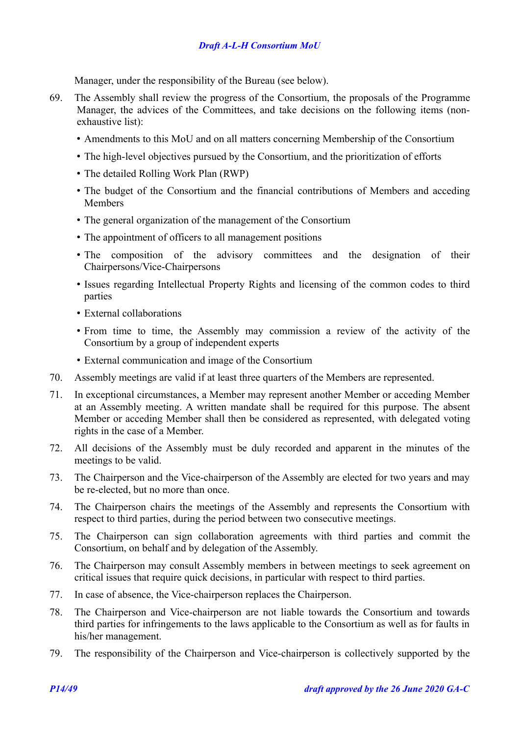### *Draft A-L-H Consortium MoU*

Manager, under the responsibility of the Bureau (see below).

- 69. The Assembly shall review the progress of the Consortium, the proposals of the Programme Manager, the advices of the Committees, and take decisions on the following items (nonexhaustive list):
	- Amendments to this MoU and on all matters concerning Membership of the Consortium
	- The high-level objectives pursued by the Consortium, and the prioritization of efforts
	- The detailed Rolling Work Plan (RWP)
	- The budget of the Consortium and the financial contributions of Members and acceding Members
	- The general organization of the management of the Consortium
	- The appointment of officers to all management positions
	- The composition of the advisory committees and the designation of their Chairpersons/Vice-Chairpersons
	- Issues regarding Intellectual Property Rights and licensing of the common codes to third parties
	- External collaborations
	- From time to time, the Assembly may commission a review of the activity of the Consortium by a group of independent experts
	- External communication and image of the Consortium
- 70. Assembly meetings are valid if at least three quarters of the Members are represented.
- 71. In exceptional circumstances, a Member may represent another Member or acceding Member at an Assembly meeting. A written mandate shall be required for this purpose. The absent Member or acceding Member shall then be considered as represented, with delegated voting rights in the case of a Member.
- 72. All decisions of the Assembly must be duly recorded and apparent in the minutes of the meetings to be valid.
- 73. The Chairperson and the Vice-chairperson of the Assembly are elected for two years and may be re-elected, but no more than once.
- 74. The Chairperson chairs the meetings of the Assembly and represents the Consortium with respect to third parties, during the period between two consecutive meetings.
- 75. The Chairperson can sign collaboration agreements with third parties and commit the Consortium, on behalf and by delegation of the Assembly.
- 76. The Chairperson may consult Assembly members in between meetings to seek agreement on critical issues that require quick decisions, in particular with respect to third parties.
- 77. In case of absence, the Vice-chairperson replaces the Chairperson.
- 78. The Chairperson and Vice-chairperson are not liable towards the Consortium and towards third parties for infringements to the laws applicable to the Consortium as well as for faults in his/her management.
- 79. The responsibility of the Chairperson and Vice-chairperson is collectively supported by the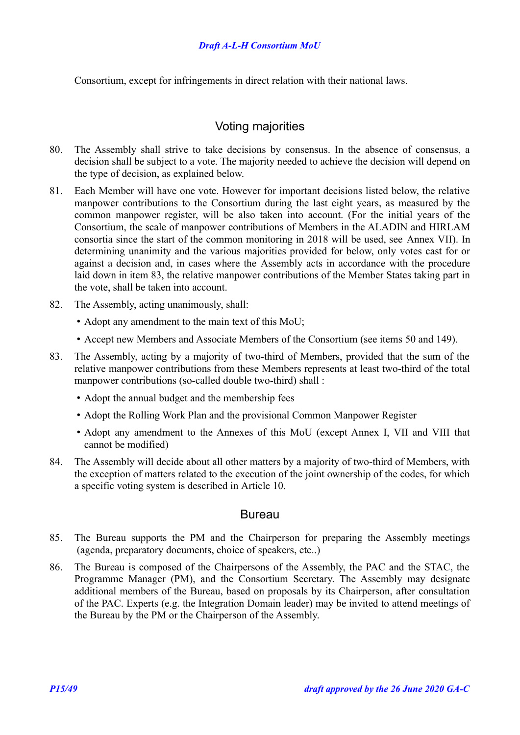Consortium, except for infringements in direct relation with their national laws.

### <span id="page-14-1"></span>Voting majorities

- 80. The Assembly shall strive to take decisions by consensus. In the absence of consensus, a decision shall be subject to a vote. The majority needed to achieve the decision will depend on the type of decision, as explained below.
- 81. Each Member will have one vote. However for important decisions listed below, the relative manpower contributions to the Consortium during the last eight years, as measured by the common manpower register, will be also taken into account. (For the initial years of the Consortium, the scale of manpower contributions of Members in the ALADIN and HIRLAM consortia since the start of the common monitoring in 2018 will be used, see [Annex VII\)](#page-37-0). In determining unanimity and the various majorities provided for below, only votes cast for or against a decision and, in cases where the Assembly acts in accordance with the procedure laid down in item [83,](#page-14-2) the relative manpower contributions of the Member States taking part in the vote, shall be taken into account.
- 82. The Assembly, acting unanimously, shall:
	- Adopt any amendment to the main text of this MoU;
	- Accept new Members and Associate Members of the Consortium (see items [50](#page-11-2) and [149\)](#page-20-1).
- <span id="page-14-2"></span>83. The Assembly, acting by a majority of two-third of Members, provided that the sum of the relative manpower contributions from these Members represents at least two-third of the total manpower contributions (so-called double two-third) shall :
	- Adopt the annual budget and the membership fees
	- Adopt the Rolling Work Plan and the provisional Common Manpower Register
	- Adopt any amendment to the Annexes of this MoU (except Annex I, VII and VIII that cannot be modified)
- 84. The Assembly will decide about all other matters by a majority of two-third of Members, with the exception of matters related to the execution of the joint ownership of the codes, for which a specific voting system is described in [Article 10.](#page-20-0)

### <span id="page-14-0"></span>Bureau

- 85. The Bureau supports the PM and the Chairperson for preparing the Assembly meetings (agenda, preparatory documents, choice of speakers, etc..)
- 86. The Bureau is composed of the Chairpersons of the Assembly, the PAC and the STAC, the Programme Manager (PM), and the Consortium Secretary. The Assembly may designate additional members of the Bureau, based on proposals by its Chairperson, after consultation of the PAC. Experts (e.g. the Integration Domain leader) may be invited to attend meetings of the Bureau by the PM or the Chairperson of the Assembly.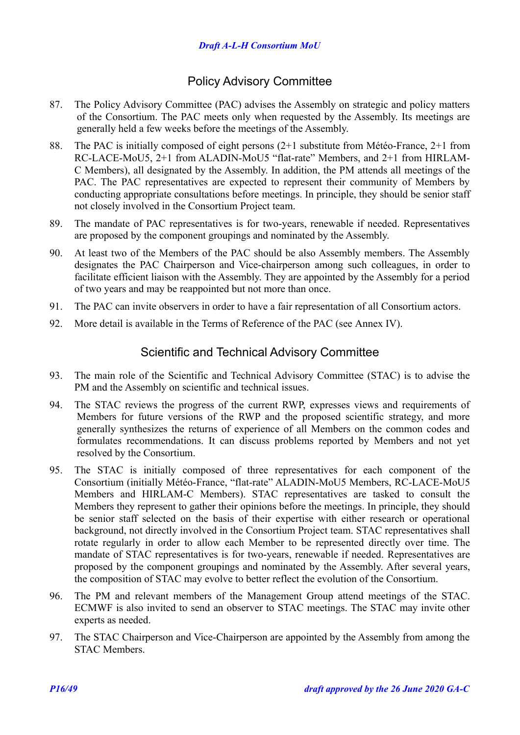### <span id="page-15-1"></span>Policy Advisory Committee

- 87. The Policy Advisory Committee (PAC) advises the Assembly on strategic and policy matters of the Consortium. The PAC meets only when requested by the Assembly. Its meetings are generally held a few weeks before the meetings of the Assembly.
- 88. The PAC is initially composed of eight persons (2+1 substitute from Météo-France, 2+1 from RC-LACE-MoU5, 2+1 from ALADIN-MoU5 "flat-rate" Members, and 2+1 from HIRLAM-C Members), all designated by the Assembly. In addition, the PM attends all meetings of the PAC. The PAC representatives are expected to represent their community of Members by conducting appropriate consultations before meetings. In principle, they should be senior staff not closely involved in the Consortium Project team.
- 89. The mandate of PAC representatives is for two-years, renewable if needed. Representatives are proposed by the component groupings and nominated by the Assembly.
- 90. At least two of the Members of the PAC should be also Assembly members. The Assembly designates the PAC Chairperson and Vice-chairperson among such colleagues, in order to facilitate efficient liaison with the Assembly. They are appointed by the Assembly for a period of two years and may be reappointed but not more than once.
- 91. The PAC can invite observers in order to have a fair representation of all Consortium actors.
- 92. More detail is available in the Terms of Reference of the PAC (see [Annex IV\)](#page-30-0).

### <span id="page-15-0"></span>Scientific and Technical Advisory Committee

- 93. The main role of the Scientific and Technical Advisory Committee (STAC) is to advise the PM and the Assembly on scientific and technical issues.
- 94. The STAC reviews the progress of the current RWP, expresses views and requirements of Members for future versions of the RWP and the proposed scientific strategy, and more generally synthesizes the returns of experience of all Members on the common codes and formulates recommendations. It can discuss problems reported by Members and not yet resolved by the Consortium.
- 95. The STAC is initially composed of three representatives for each component of the Consortium (initially Météo-France, "flat-rate" ALADIN-MoU5 Members, RC-LACE-MoU5 Members and HIRLAM-C Members). STAC representatives are tasked to consult the Members they represent to gather their opinions before the meetings. In principle, they should be senior staff selected on the basis of their expertise with either research or operational background, not directly involved in the Consortium Project team. STAC representatives shall rotate regularly in order to allow each Member to be represented directly over time. The mandate of STAC representatives is for two-years, renewable if needed. Representatives are proposed by the component groupings and nominated by the Assembly. After several years, the composition of STAC may evolve to better reflect the evolution of the Consortium.
- 96. The PM and relevant members of the Management Group attend meetings of the STAC. ECMWF is also invited to send an observer to STAC meetings. The STAC may invite other experts as needed.
- 97. The STAC Chairperson and Vice-Chairperson are appointed by the Assembly from among the STAC Members.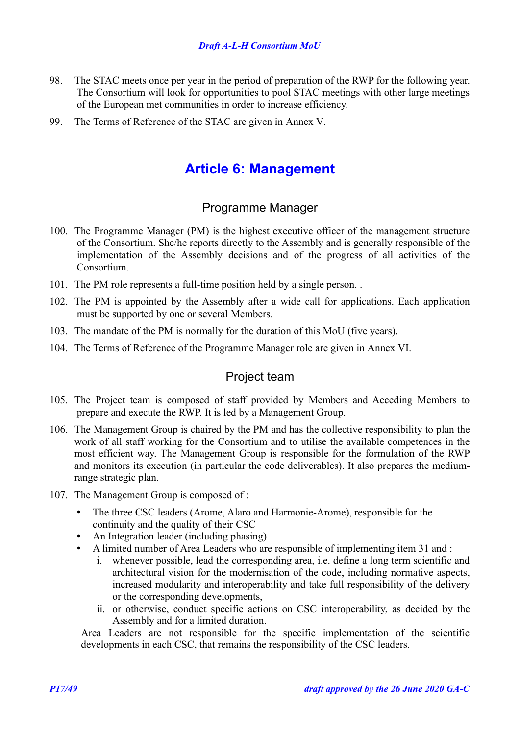- 98. The STAC meets once per year in the period of preparation of the RWP for the following year. The Consortium will look for opportunities to pool STAC meetings with other large meetings of the European met communities in order to increase efficiency.
- 99. The Terms of Reference of the STAC are given in [Annex V.](#page-31-0)

## <span id="page-16-2"></span>**Article 6: Management**

### <span id="page-16-1"></span>Programme Manager

- 100. The Programme Manager (PM) is the highest executive officer of the management structure of the Consortium. She/he reports directly to the Assembly and is generally responsible of the implementation of the Assembly decisions and of the progress of all activities of the Consortium.
- 101. The PM role represents a full-time position held by a single person. .
- 102. The PM is appointed by the Assembly after a wide call for applications. Each application must be supported by one or several Members.
- 103. The mandate of the PM is normally for the duration of this MoU (five years).
- 104. The Terms of Reference of the Programme Manager role are given in [Annex VI.](#page-32-0)

### <span id="page-16-0"></span>Project team

- 105. The Project team is composed of staff provided by Members and Acceding Members to prepare and execute the RWP. It is led by a Management Group.
- 106. The Management Group is chaired by the PM and has the collective responsibility to plan the work of all staff working for the Consortium and to utilise the available competences in the most efficient way. The Management Group is responsible for the formulation of the RWP and monitors its execution (in particular the code deliverables). It also prepares the mediumrange strategic plan.
- <span id="page-16-4"></span>107. The Management Group is composed of :
	- The three CSC leaders (Arome, Alaro and Harmonie-Arome), responsible for the continuity and the quality of their CSC
	- An Integration leader (including phasing)
	- A limited number of Area Leaders who are responsible of implementing item [31](#page-8-3) and :
		- i. whenever possible, lead the corresponding area, i.e. define a long term scientific and architectural vision for the modernisation of the code, including normative aspects, increased modularity and interoperability and take full responsibility of the delivery or the corresponding developments,
		- ii. or otherwise, conduct specific actions on CSC interoperability, as decided by the Assembly and for a limited duration.

<span id="page-16-5"></span><span id="page-16-3"></span>Area Leaders are not responsible for the specific implementation of the scientific developments in each CSC, that remains the responsibility of the CSC leaders.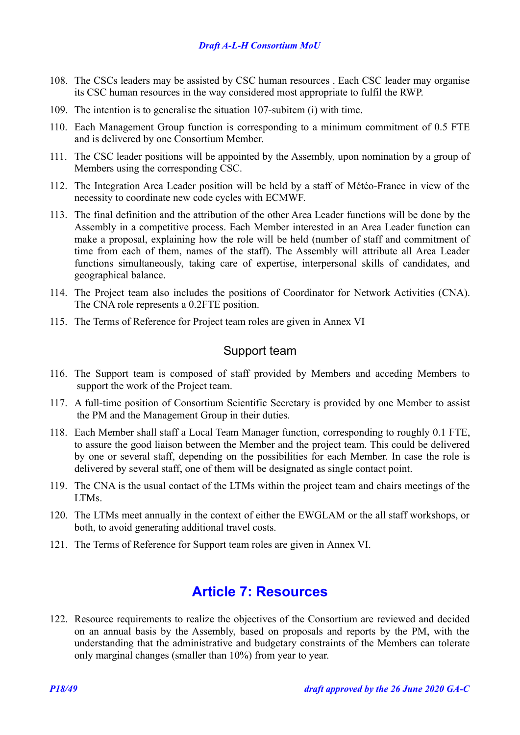### *Draft A-L-H Consortium MoU*

- 108. The CSCs leaders may be assisted by CSC human resources . Each CSC leader may organise its CSC human resources in the way considered most appropriate to fulfil the RWP.
- 109. The intention is to generalise the situation [107-](#page-16-4)subitem [\(i\)](#page-16-3) with time.
- 110. Each Management Group function is corresponding to a minimum commitment of 0.5 FTE and is delivered by one Consortium Member.
- 111. The CSC leader positions will be appointed by the Assembly, upon nomination by a group of Members using the corresponding CSC.
- 112. The Integration Area Leader position will be held by a staff of Météo-France in view of the necessity to coordinate new code cycles with ECMWF.
- 113. The final definition and the attribution of the other Area Leader functions will be done by the Assembly in a competitive process. Each Member interested in an Area Leader function can make a proposal, explaining how the role will be held (number of staff and commitment of time from each of them, names of the staff). The Assembly will attribute all Area Leader functions simultaneously, taking care of expertise, interpersonal skills of candidates, and geographical balance.
- 114. The Project team also includes the positions of Coordinator for Network Activities (CNA). The CNA role represents a 0.2FTE position.
- 115. The Terms of Reference for Project team roles are given in [Annex VI](#page-32-0)

### <span id="page-17-1"></span>Support team

- 116. The Support team is composed of staff provided by Members and acceding Members to support the work of the Project team.
- 117. A full-time position of Consortium Scientific Secretary is provided by one Member to assist the PM and the Management Group in their duties.
- 118. Each Member shall staff a Local Team Manager function, corresponding to roughly 0.1 FTE, to assure the good liaison between the Member and the project team. This could be delivered by one or several staff, depending on the possibilities for each Member. In case the role is delivered by several staff, one of them will be designated as single contact point.
- 119. The CNA is the usual contact of the LTMs within the project team and chairs meetings of the LTMs.
- 120. The LTMs meet annually in the context of either the EWGLAM or the all staff workshops, or both, to avoid generating additional travel costs.
- 121. The Terms of Reference for Support team roles are given in [Annex VI.](#page-32-0)

## <span id="page-17-0"></span>**Article 7: Resources**

122. Resource requirements to realize the objectives of the Consortium are reviewed and decided on an annual basis by the Assembly, based on proposals and reports by the PM, with the understanding that the administrative and budgetary constraints of the Members can tolerate only marginal changes (smaller than 10%) from year to year.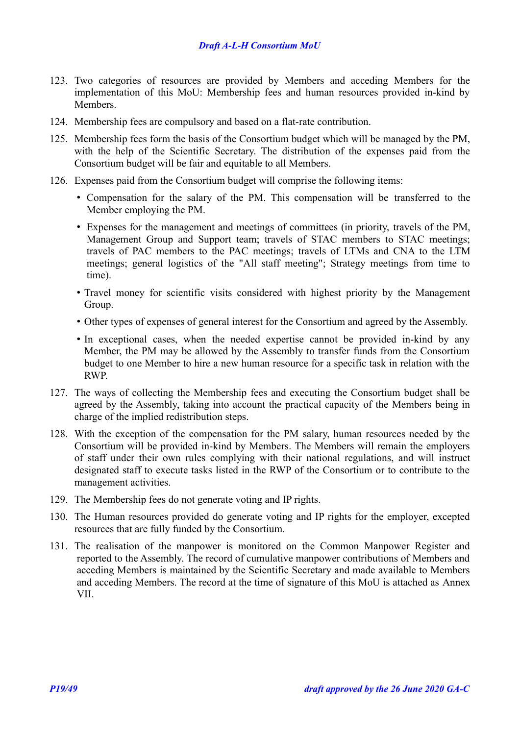- 123. Two categories of resources are provided by Members and acceding Members for the implementation of this MoU: Membership fees and human resources provided in-kind by Members.
- 124. Membership fees are compulsory and based on a flat-rate contribution.
- 125. Membership fees form the basis of the Consortium budget which will be managed by the PM, with the help of the Scientific Secretary. The distribution of the expenses paid from the Consortium budget will be fair and equitable to all Members.
- 126. Expenses paid from the Consortium budget will comprise the following items:
	- Compensation for the salary of the PM. This compensation will be transferred to the Member employing the PM.
	- Expenses for the management and meetings of committees (in priority, travels of the PM, Management Group and Support team; travels of STAC members to STAC meetings; travels of PAC members to the PAC meetings; travels of LTMs and CNA to the LTM meetings; general logistics of the "All staff meeting"; Strategy meetings from time to time).
	- Travel money for scientific visits considered with highest priority by the Management Group.
	- Other types of expenses of general interest for the Consortium and agreed by the Assembly.
	- In exceptional cases, when the needed expertise cannot be provided in-kind by any Member, the PM may be allowed by the Assembly to transfer funds from the Consortium budget to one Member to hire a new human resource for a specific task in relation with the RWP.
- 127. The ways of collecting the Membership fees and executing the Consortium budget shall be agreed by the Assembly, taking into account the practical capacity of the Members being in charge of the implied redistribution steps.
- 128. With the exception of the compensation for the PM salary, human resources needed by the Consortium will be provided in-kind by Members. The Members will remain the employers of staff under their own rules complying with their national regulations, and will instruct designated staff to execute tasks listed in the RWP of the Consortium or to contribute to the management activities.
- 129. The Membership fees do not generate voting and IP rights.
- 130. The Human resources provided do generate voting and IP rights for the employer, excepted resources that are fully funded by the Consortium.
- 131. The realisation of the manpower is monitored on the Common Manpower Register and reported to the Assembly. The record of cumulative manpower contributions of Members and acceding Members is maintained by the Scientific Secretary and made available to Members and acceding Members. The record at the time of signature of this MoU is attached as [Annex](#page-37-0) [VII.](#page-37-0)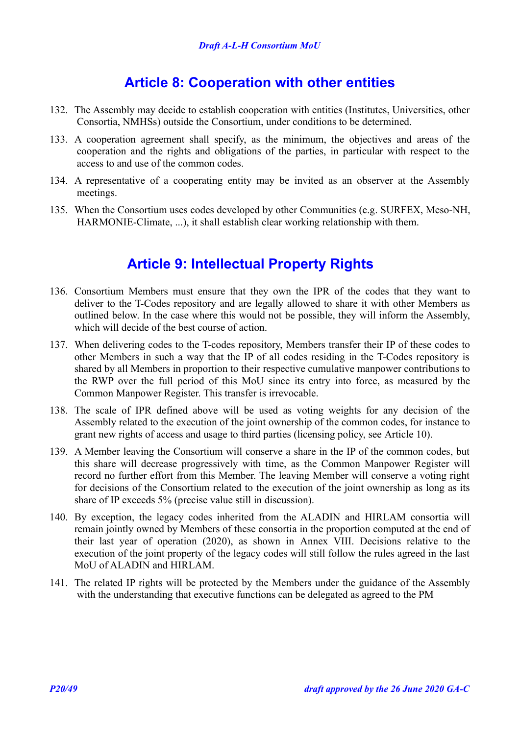## <span id="page-19-1"></span>**Article 8: Cooperation with other entities**

- 132. The Assembly may decide to establish cooperation with entities (Institutes, Universities, other Consortia, NMHSs) outside the Consortium, under conditions to be determined.
- 133. A cooperation agreement shall specify, as the minimum, the objectives and areas of the cooperation and the rights and obligations of the parties, in particular with respect to the access to and use of the common codes.
- 134. A representative of a cooperating entity may be invited as an observer at the Assembly meetings.
- 135. When the Consortium uses codes developed by other Communities (e.g. SURFEX, Meso-NH, HARMONIE-Climate, ...), it shall establish clear working relationship with them.

## <span id="page-19-0"></span>**Article 9: Intellectual Property Rights**

- 136. Consortium Members must ensure that they own the IPR of the codes that they want to deliver to the T-Codes repository and are legally allowed to share it with other Members as outlined below. In the case where this would not be possible, they will inform the Assembly, which will decide of the best course of action.
- 137. When delivering codes to the T-codes repository, Members transfer their IP of these codes to other Members in such a way that the IP of all codes residing in the T-Codes repository is shared by all Members in proportion to their respective cumulative manpower contributions to the RWP over the full period of this MoU since its entry into force, as measured by the Common Manpower Register. This transfer is irrevocable.
- 138. The scale of IPR defined above will be used as voting weights for any decision of the Assembly related to the execution of the joint ownership of the common codes, for instance to grant new rights of access and usage to third parties (licensing policy, see [Article 10\)](#page-20-0).
- 139. A Member leaving the Consortium will conserve a share in the IP of the common codes, but this share will decrease progressively with time, as the Common Manpower Register will record no further effort from this Member. The leaving Member will conserve a voting right for decisions of the Consortium related to the execution of the joint ownership as long as its share of IP exceeds 5% (precise value still in discussion).
- 140. By exception, the legacy codes inherited from the ALADIN and HIRLAM consortia will remain jointly owned by Members of these consortia in the proportion computed at the end of their last year of operation (2020), as shown in [Annex VIII.](#page-39-0) Decisions relative to the execution of the joint property of the legacy codes will still follow the rules agreed in the last MoU of ALADIN and HIRLAM.
- 141. The related IP rights will be protected by the Members under the guidance of the Assembly with the understanding that executive functions can be delegated as agreed to the PM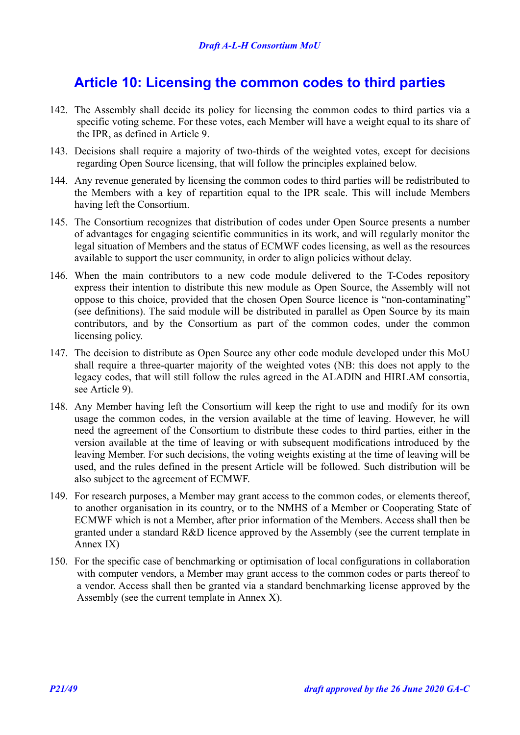## <span id="page-20-0"></span>**Article 10: Licensing the common codes to third parties**

- 142. The Assembly shall decide its policy for licensing the common codes to third parties via a specific voting scheme. For these votes, each Member will have a weight equal to its share of the IPR, as defined in [Article 9.](#page-19-0)
- 143. Decisions shall require a majority of two-thirds of the weighted votes, except for decisions regarding Open Source licensing, that will follow the principles explained below.
- 144. Any revenue generated by licensing the common codes to third parties will be redistributed to the Members with a key of repartition equal to the IPR scale. This will include Members having left the Consortium.
- 145. The Consortium recognizes that distribution of codes under Open Source presents a number of advantages for engaging scientific communities in its work, and will regularly monitor the legal situation of Members and the status of ECMWF codes licensing, as well as the resources available to support the user community, in order to align policies without delay.
- 146. When the main contributors to a new code module delivered to the T-Codes repository express their intention to distribute this new module as Open Source, the Assembly will not oppose to this choice, provided that the chosen Open Source licence is "non-contaminating" (see definitions). The said module will be distributed in parallel as Open Source by its main contributors, and by the Consortium as part of the common codes, under the common licensing policy.
- 147. The decision to distribute as Open Source any other code module developed under this MoU shall require a three-quarter majority of the weighted votes (NB: this does not apply to the legacy codes, that will still follow the rules agreed in the ALADIN and HIRLAM consortia, see [Article 9\)](#page-19-0).
- 148. Any Member having left the Consortium will keep the right to use and modify for its own usage the common codes, in the version available at the time of leaving. However, he will need the agreement of the Consortium to distribute these codes to third parties, either in the version available at the time of leaving or with subsequent modifications introduced by the leaving Member. For such decisions, the voting weights existing at the time of leaving will be used, and the rules defined in the present Article will be followed. Such distribution will be also subject to the agreement of ECMWF.
- <span id="page-20-1"></span>149. For research purposes, a Member may grant access to the common codes, or elements thereof, to another organisation in its country, or to the NMHS of a Member or Cooperating State of ECMWF which is not a Member, after prior information of the Members. Access shall then be granted under a standard R&D licence approved by the Assembly (see the current template in [Annex IX\)](#page-44-0)
- 150. For the specific case of benchmarking or optimisation of local configurations in collaboration with computer vendors, a Member may grant access to the common codes or parts thereof to a vendor. Access shall then be granted via a standard benchmarking license approved by the Assembly (see the current template in [Annex X\)](#page-47-0).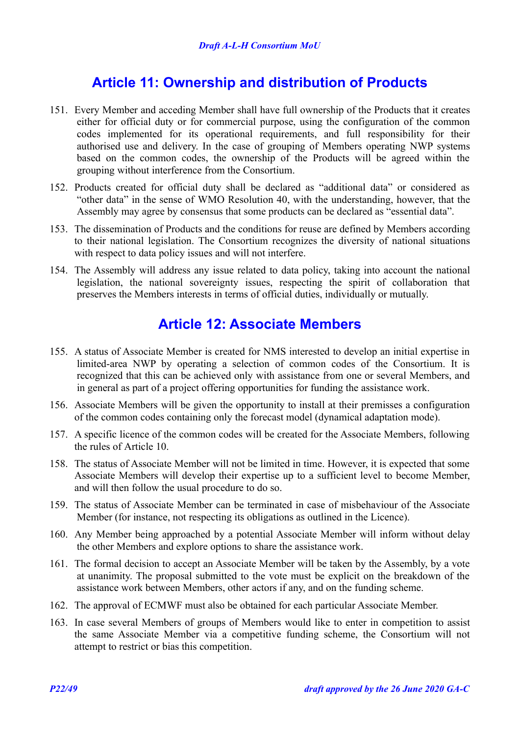## <span id="page-21-1"></span>**Article 11: Ownership and distribution of Products**

- 151. Every Member and acceding Member shall have full ownership of the Products that it creates either for official duty or for commercial purpose, using the configuration of the common codes implemented for its operational requirements, and full responsibility for their authorised use and delivery. In the case of grouping of Members operating NWP systems based on the common codes, the ownership of the Products will be agreed within the grouping without interference from the Consortium.
- 152. Products created for official duty shall be declared as "additional data" or considered as "other data" in the sense of WMO Resolution 40, with the understanding, however, that the Assembly may agree by consensus that some products can be declared as "essential data".
- 153. The dissemination of Products and the conditions for reuse are defined by Members according to their national legislation. The Consortium recognizes the diversity of national situations with respect to data policy issues and will not interfere.
- 154. The Assembly will address any issue related to data policy, taking into account the national legislation, the national sovereignty issues, respecting the spirit of collaboration that preserves the Members interests in terms of official duties, individually or mutually.

## <span id="page-21-0"></span>**Article 12: Associate Members**

- 155. A status of Associate Member is created for NMS interested to develop an initial expertise in limited-area NWP by operating a selection of common codes of the Consortium. It is recognized that this can be achieved only with assistance from one or several Members, and in general as part of a project offering opportunities for funding the assistance work.
- 156. Associate Members will be given the opportunity to install at their premisses a configuration of the common codes containing only the forecast model (dynamical adaptation mode).
- 157. A specific licence of the common codes will be created for the Associate Members, following the rules of [Article 10.](#page-20-0)
- 158. The status of Associate Member will not be limited in time. However, it is expected that some Associate Members will develop their expertise up to a sufficient level to become Member, and will then follow the usual procedure to do so.
- 159. The status of Associate Member can be terminated in case of misbehaviour of the Associate Member (for instance, not respecting its obligations as outlined in the Licence).
- 160. Any Member being approached by a potential Associate Member will inform without delay the other Members and explore options to share the assistance work.
- 161. The formal decision to accept an Associate Member will be taken by the Assembly, by a vote at unanimity. The proposal submitted to the vote must be explicit on the breakdown of the assistance work between Members, other actors if any, and on the funding scheme.
- 162. The approval of ECMWF must also be obtained for each particular Associate Member.
- 163. In case several Members of groups of Members would like to enter in competition to assist the same Associate Member via a competitive funding scheme, the Consortium will not attempt to restrict or bias this competition.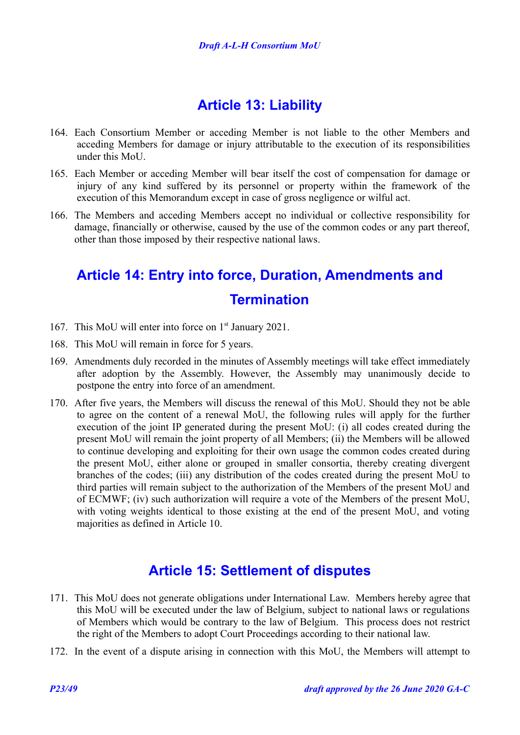## <span id="page-22-2"></span>**Article 13: Liability**

- 164. Each Consortium Member or acceding Member is not liable to the other Members and acceding Members for damage or injury attributable to the execution of its responsibilities under this MoU.
- 165. Each Member or acceding Member will bear itself the cost of compensation for damage or injury of any kind suffered by its personnel or property within the framework of the execution of this Memorandum except in case of gross negligence or wilful act.
- 166. The Members and acceding Members accept no individual or collective responsibility for damage, financially or otherwise, caused by the use of the common codes or any part thereof, other than those imposed by their respective national laws.

## <span id="page-22-1"></span>**Article 14: Entry into force, Duration, Amendments and Termination**

- 167. This MoU will enter into force on 1<sup>st</sup> January 2021.
- 168. This MoU will remain in force for 5 years.
- 169. Amendments duly recorded in the minutes of Assembly meetings will take effect immediately after adoption by the Assembly. However, the Assembly may unanimously decide to postpone the entry into force of an amendment.
- 170. After five years, the Members will discuss the renewal of this MoU. Should they not be able to agree on the content of a renewal MoU, the following rules will apply for the further execution of the joint IP generated during the present MoU: (i) all codes created during the present MoU will remain the joint property of all Members; (ii) the Members will be allowed to continue developing and exploiting for their own usage the common codes created during the present MoU, either alone or grouped in smaller consortia, thereby creating divergent branches of the codes; (iii) any distribution of the codes created during the present MoU to third parties will remain subject to the authorization of the Members of the present MoU and of ECMWF; (iv) such authorization will require a vote of the Members of the present MoU, with voting weights identical to those existing at the end of the present MoU, and voting majorities as defined in [Article 10.](#page-20-0)

## <span id="page-22-0"></span>**Article 15: Settlement of disputes**

- 171. This MoU does not generate obligations under International Law. Members hereby agree that this MoU will be executed under the law of Belgium, subject to national laws or regulations of Members which would be contrary to the law of Belgium. This process does not restrict the right of the Members to adopt Court Proceedings according to their national law.
- 172. In the event of a dispute arising in connection with this MoU, the Members will attempt to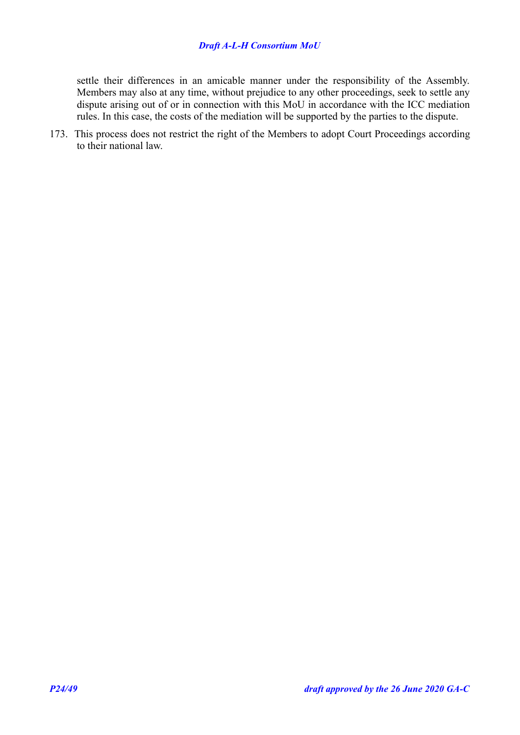### *Draft A-L-H Consortium MoU*

settle their differences in an amicable manner under the responsibility of the Assembly. Members may also at any time, without prejudice to any other proceedings, seek to settle any dispute arising out of or in connection with this MoU in accordance with the ICC mediation rules. In this case, the costs of the mediation will be supported by the parties to the dispute.

173. This process does not restrict the right of the Members to adopt Court Proceedings according to their national law.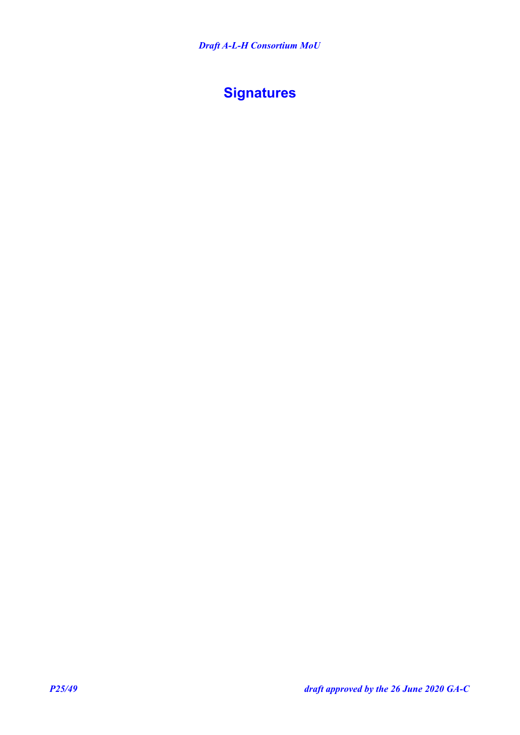## <span id="page-24-0"></span>**Signatures**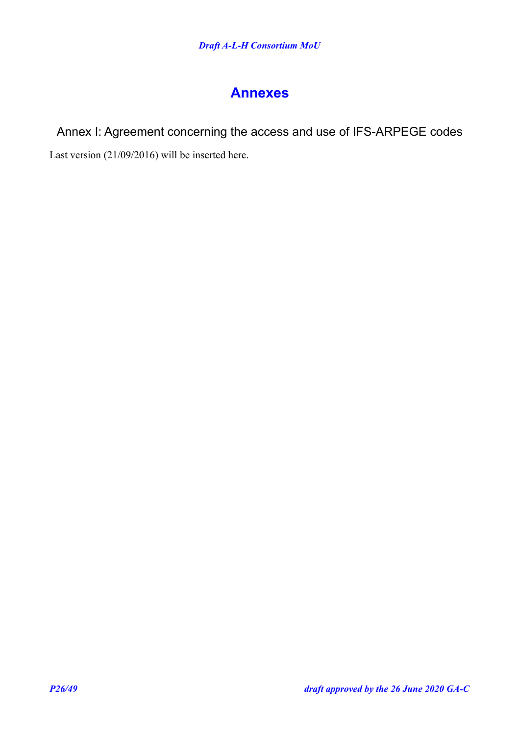## <span id="page-25-1"></span>**Annexes**

## <span id="page-25-0"></span>Annex I: Agreement concerning the access and use of IFS-ARPEGE codes

Last version (21/09/2016) will be inserted here.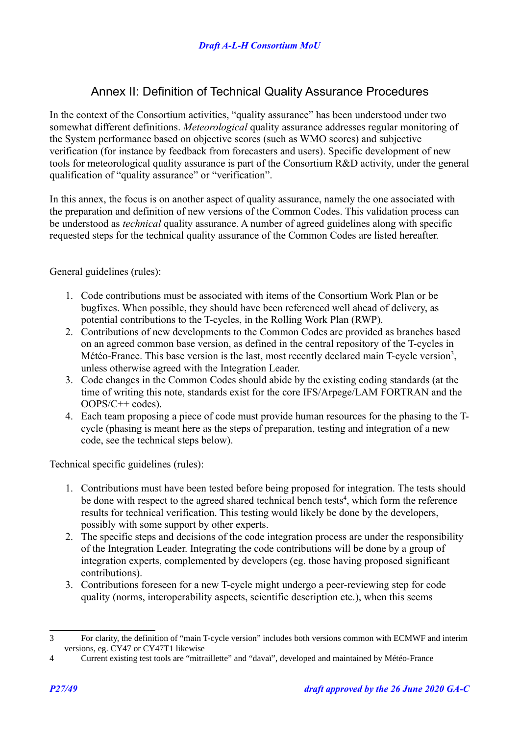## <span id="page-26-0"></span>Annex II: Definition of Technical Quality Assurance Procedures

In the context of the Consortium activities, "quality assurance" has been understood under two somewhat different definitions. *Meteorological* quality assurance addresses regular monitoring of the System performance based on objective scores (such as WMO scores) and subjective verification (for instance by feedback from forecasters and users). Specific development of new tools for meteorological quality assurance is part of the Consortium R&D activity, under the general qualification of "quality assurance" or "verification".

In this annex, the focus is on another aspect of quality assurance, namely the one associated with the preparation and definition of new versions of the Common Codes. This validation process can be understood as *technical* quality assurance. A number of agreed guidelines along with specific requested steps for the technical quality assurance of the Common Codes are listed hereafter.

General guidelines (rules):

- 1. Code contributions must be associated with items of the Consortium Work Plan or be bugfixes. When possible, they should have been referenced well ahead of delivery, as potential contributions to the T-cycles, in the Rolling Work Plan (RWP).
- 2. Contributions of new developments to the Common Codes are provided as branches based on an agreed common base version, as defined in the central repository of the T-cycles in Météo-France. This base version is the last, most recently declared main T-cycle version<sup>[3](#page-26-1)</sup>, unless otherwise agreed with the Integration Leader.
- 3. Code changes in the Common Codes should abide by the existing coding standards (at the time of writing this note, standards exist for the core IFS/Arpege/LAM FORTRAN and the OOPS/C++ codes).
- 4. Each team proposing a piece of code must provide human resources for the phasing to the Tcycle (phasing is meant here as the steps of preparation, testing and integration of a new code, see the technical steps below).

Technical specific guidelines (rules):

- 1. Contributions must have been tested before being proposed for integration. The tests should be done with respect to the agreed shared technical bench tests<sup>[4](#page-26-2)</sup>, which form the reference results for technical verification. This testing would likely be done by the developers, possibly with some support by other experts.
- 2. The specific steps and decisions of the code integration process are under the responsibility of the Integration Leader. Integrating the code contributions will be done by a group of integration experts, complemented by developers (eg. those having proposed significant contributions).
- 3. Contributions foreseen for a new T-cycle might undergo a peer-reviewing step for code quality (norms, interoperability aspects, scientific description etc.), when this seems

<span id="page-26-1"></span><sup>3</sup> For clarity, the definition of "main T-cycle version" includes both versions common with ECMWF and interim versions, eg. CY47 or CY47T1 likewise

<span id="page-26-2"></span><sup>4</sup> Current existing test tools are "mitraillette" and "davaï", developed and maintained by Météo-France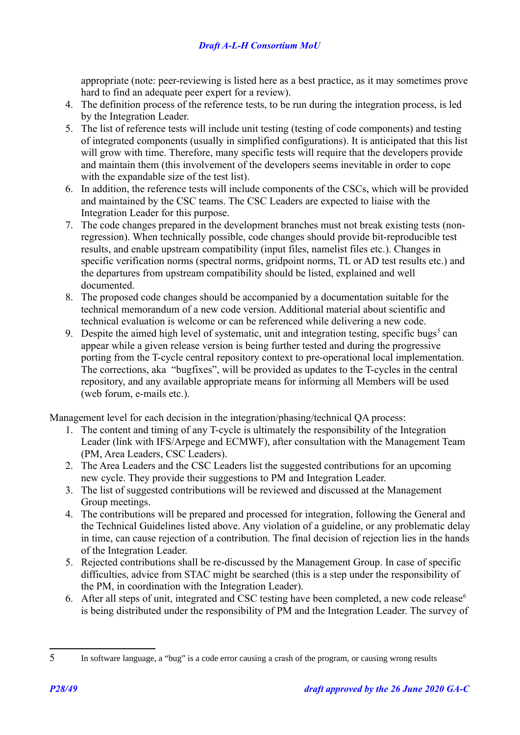appropriate (note: peer-reviewing is listed here as a best practice, as it may sometimes prove hard to find an adequate peer expert for a review).

- 4. The definition process of the reference tests, to be run during the integration process, is led by the Integration Leader.
- 5. The list of reference tests will include unit testing (testing of code components) and testing of integrated components (usually in simplified configurations). It is anticipated that this list will grow with time. Therefore, many specific tests will require that the developers provide and maintain them (this involvement of the developers seems inevitable in order to cope with the expandable size of the test list).
- 6. In addition, the reference tests will include components of the CSCs, which will be provided and maintained by the CSC teams. The CSC Leaders are expected to liaise with the Integration Leader for this purpose.
- 7. The code changes prepared in the development branches must not break existing tests (nonregression). When technically possible, code changes should provide bit-reproducible test results, and enable upstream compatibility (input files, namelist files etc.). Changes in specific verification norms (spectral norms, gridpoint norms, TL or AD test results etc.) and the departures from upstream compatibility should be listed, explained and well documented.
- 8. The proposed code changes should be accompanied by a documentation suitable for the technical memorandum of a new code version. Additional material about scientific and technical evaluation is welcome or can be referenced while delivering a new code.
- 9. Despite the aimed high level of systematic, unit and integration testing, specific bugs<sup>[5](#page-27-0)</sup> can appear while a given release version is being further tested and during the progressive porting from the T-cycle central repository context to pre-operational local implementation. The corrections, aka "bugfixes", will be provided as updates to the T-cycles in the central repository, and any available appropriate means for informing all Members will be used (web forum, e-mails etc.).

Management level for each decision in the integration/phasing/technical QA process:

- 1. The content and timing of any T-cycle is ultimately the responsibility of the Integration Leader (link with IFS/Arpege and ECMWF), after consultation with the Management Team (PM, Area Leaders, CSC Leaders).
- 2. The Area Leaders and the CSC Leaders list the suggested contributions for an upcoming new cycle. They provide their suggestions to PM and Integration Leader.
- 3. The list of suggested contributions will be reviewed and discussed at the Management Group meetings.
- 4. The contributions will be prepared and processed for integration, following the General and the Technical Guidelines listed above. Any violation of a guideline, or any problematic delay in time, can cause rejection of a contribution. The final decision of rejection lies in the hands of the Integration Leader.
- 5. Rejected contributions shall be re-discussed by the Management Group. In case of specific difficulties, advice from STAC might be searched (this is a step under the responsibility of the PM, in coordination with the Integration Leader).
- 6. After all steps of unit, integrated and CSC testing have been completed, a new code release<sup> $6$ </sup> is being distributed under the responsibility of PM and the Integration Leader. The survey of

<span id="page-27-0"></span><sup>5</sup> In software language, a "bug" is a code error causing a crash of the program, or causing wrong results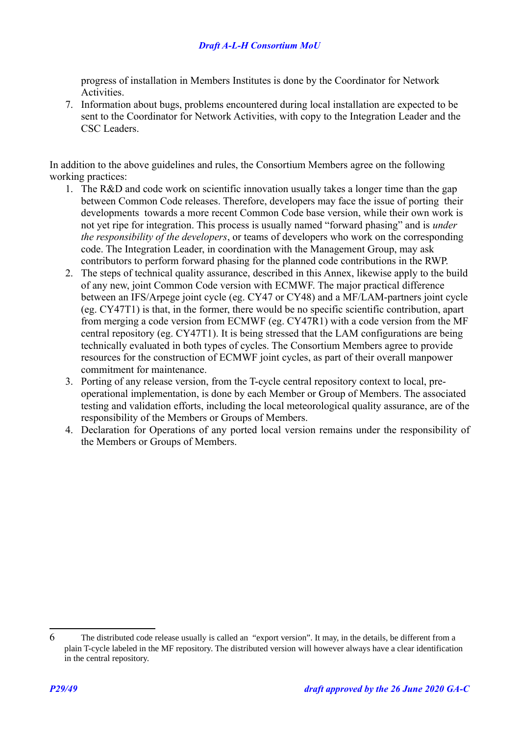progress of installation in Members Institutes is done by the Coordinator for Network Activities.

7. Information about bugs, problems encountered during local installation are expected to be sent to the Coordinator for Network Activities, with copy to the Integration Leader and the CSC Leaders.

In addition to the above guidelines and rules, the Consortium Members agree on the following working practices:

- 1. The R&D and code work on scientific innovation usually takes a longer time than the gap between Common Code releases. Therefore, developers may face the issue of porting their developments towards a more recent Common Code base version, while their own work is not yet ripe for integration. This process is usually named "forward phasing" and is *under the responsibility of the developers*, or teams of developers who work on the corresponding code. The Integration Leader, in coordination with the Management Group, may ask contributors to perform forward phasing for the planned code contributions in the RWP.
- 2. The steps of technical quality assurance, described in this Annex, likewise apply to the build of any new, joint Common Code version with ECMWF. The major practical difference between an IFS/Arpege joint cycle (eg. CY47 or CY48) and a MF/LAM-partners joint cycle (eg. CY47T1) is that, in the former, there would be no specific scientific contribution, apart from merging a code version from ECMWF (eg. CY47R1) with a code version from the MF central repository (eg. CY47T1). It is being stressed that the LAM configurations are being technically evaluated in both types of cycles. The Consortium Members agree to provide resources for the construction of ECMWF joint cycles, as part of their overall manpower commitment for maintenance.
- 3. Porting of any release version, from the T-cycle central repository context to local, preoperational implementation, is done by each Member or Group of Members. The associated testing and validation efforts, including the local meteorological quality assurance, are of the responsibility of the Members or Groups of Members.
- 4. Declaration for Operations of any ported local version remains under the responsibility of the Members or Groups of Members.

<sup>6</sup> The distributed code release usually is called an "export version". It may, in the details, be different from a plain T-cycle labeled in the MF repository. The distributed version will however always have a clear identification in the central repository.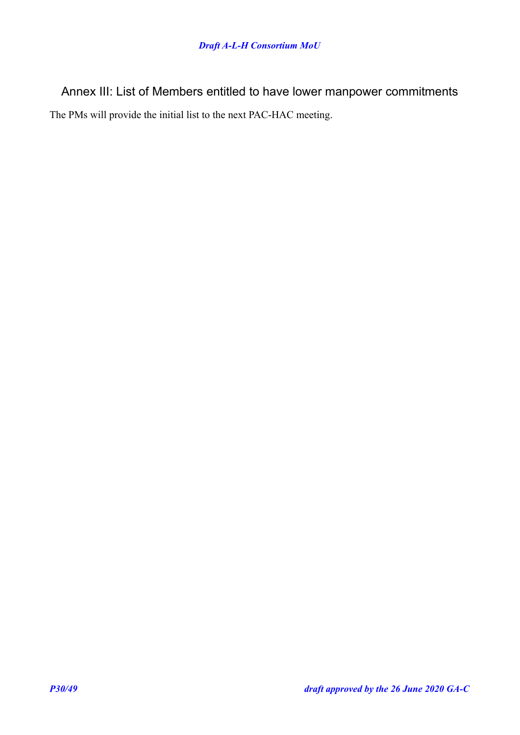<span id="page-29-0"></span>Annex III: List of Members entitled to have lower manpower commitments The PMs will provide the initial list to the next PAC-HAC meeting.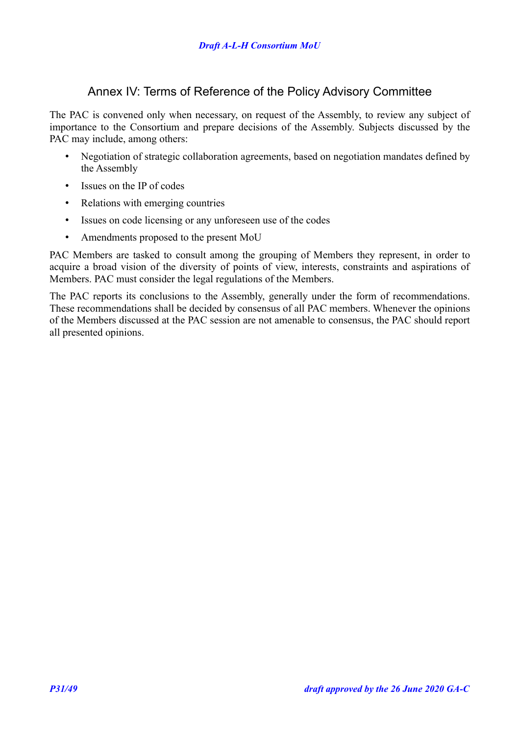### <span id="page-30-0"></span>Annex IV: Terms of Reference of the Policy Advisory Committee

The PAC is convened only when necessary, on request of the Assembly, to review any subject of importance to the Consortium and prepare decisions of the Assembly. Subjects discussed by the PAC may include, among others:

- Negotiation of strategic collaboration agreements, based on negotiation mandates defined by the Assembly
- Issues on the IP of codes
- Relations with emerging countries
- Issues on code licensing or any unforeseen use of the codes
- Amendments proposed to the present MoU

PAC Members are tasked to consult among the grouping of Members they represent, in order to acquire a broad vision of the diversity of points of view, interests, constraints and aspirations of Members. PAC must consider the legal regulations of the Members.

The PAC reports its conclusions to the Assembly, generally under the form of recommendations. These recommendations shall be decided by consensus of all PAC members. Whenever the opinions of the Members discussed at the PAC session are not amenable to consensus, the PAC should report all presented opinions.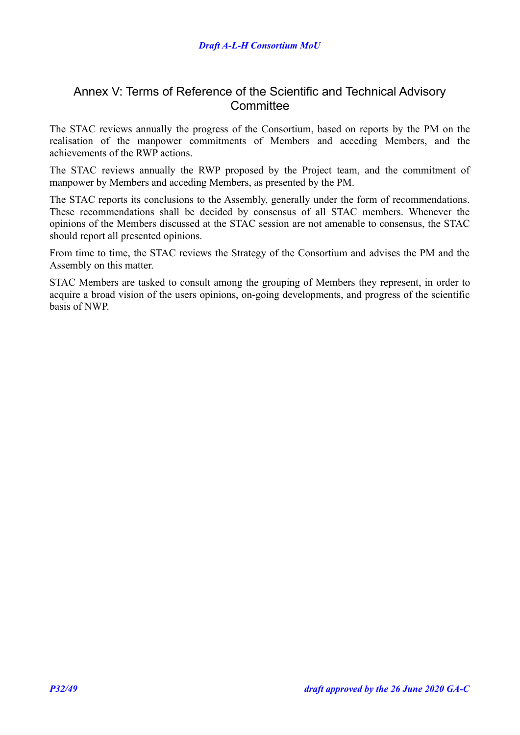### <span id="page-31-0"></span>Annex V: Terms of Reference of the Scientific and Technical Advisory **Committee**

The STAC reviews annually the progress of the Consortium, based on reports by the PM on the realisation of the manpower commitments of Members and acceding Members, and the achievements of the RWP actions.

The STAC reviews annually the RWP proposed by the Project team, and the commitment of manpower by Members and acceding Members, as presented by the PM.

The STAC reports its conclusions to the Assembly, generally under the form of recommendations. These recommendations shall be decided by consensus of all STAC members. Whenever the opinions of the Members discussed at the STAC session are not amenable to consensus, the STAC should report all presented opinions.

From time to time, the STAC reviews the Strategy of the Consortium and advises the PM and the Assembly on this matter.

STAC Members are tasked to consult among the grouping of Members they represent, in order to acquire a broad vision of the users opinions, on-going developments, and progress of the scientific basis of NWP.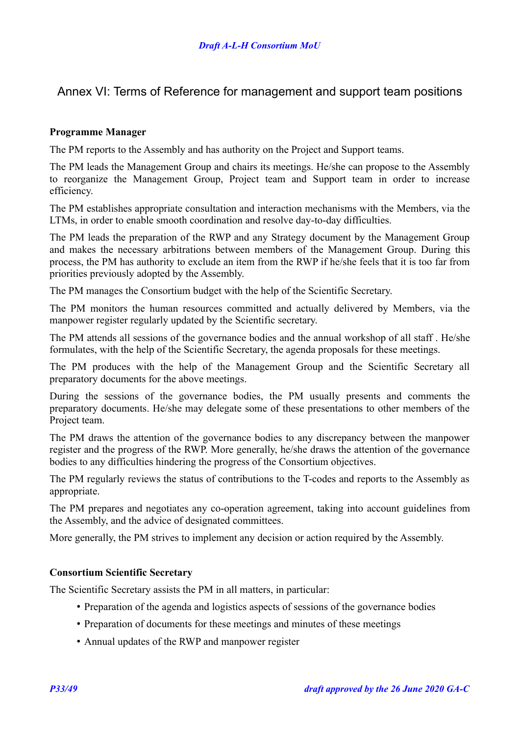### <span id="page-32-0"></span>Annex VI: Terms of Reference for management and support team positions

### **Programme Manager**

The PM reports to the Assembly and has authority on the Project and Support teams.

The PM leads the Management Group and chairs its meetings. He/she can propose to the Assembly to reorganize the Management Group, Project team and Support team in order to increase efficiency.

The PM establishes appropriate consultation and interaction mechanisms with the Members, via the LTMs, in order to enable smooth coordination and resolve day-to-day difficulties.

The PM leads the preparation of the RWP and any Strategy document by the Management Group and makes the necessary arbitrations between members of the Management Group. During this process, the PM has authority to exclude an item from the RWP if he/she feels that it is too far from priorities previously adopted by the Assembly.

The PM manages the Consortium budget with the help of the Scientific Secretary.

The PM monitors the human resources committed and actually delivered by Members, via the manpower register regularly updated by the Scientific secretary.

The PM attends all sessions of the governance bodies and the annual workshop of all staff . He/she formulates, with the help of the Scientific Secretary, the agenda proposals for these meetings.

The PM produces with the help of the Management Group and the Scientific Secretary all preparatory documents for the above meetings.

During the sessions of the governance bodies, the PM usually presents and comments the preparatory documents. He/she may delegate some of these presentations to other members of the Project team.

The PM draws the attention of the governance bodies to any discrepancy between the manpower register and the progress of the RWP. More generally, he/she draws the attention of the governance bodies to any difficulties hindering the progress of the Consortium objectives.

The PM regularly reviews the status of contributions to the T-codes and reports to the Assembly as appropriate.

The PM prepares and negotiates any co-operation agreement, taking into account guidelines from the Assembly, and the advice of designated committees.

More generally, the PM strives to implement any decision or action required by the Assembly.

### **Consortium Scientific Secretary**

The Scientific Secretary assists the PM in all matters, in particular:

- Preparation of the agenda and logistics aspects of sessions of the governance bodies
- Preparation of documents for these meetings and minutes of these meetings
- Annual updates of the RWP and manpower register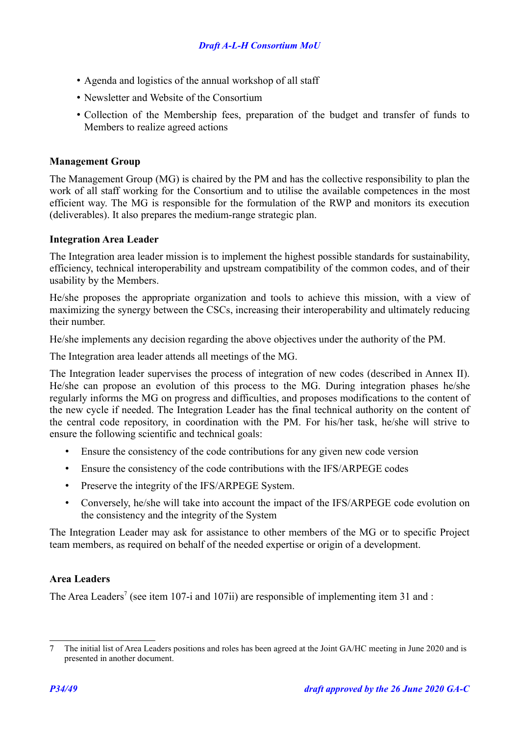- Agenda and logistics of the annual workshop of all staff
- Newsletter and Website of the Consortium
- Collection of the Membership fees, preparation of the budget and transfer of funds to Members to realize agreed actions

### **Management Group**

The Management Group (MG) is chaired by the PM and has the collective responsibility to plan the work of all staff working for the Consortium and to utilise the available competences in the most efficient way. The MG is responsible for the formulation of the RWP and monitors its execution (deliverables). It also prepares the medium-range strategic plan.

### **Integration Area Leader**

The Integration area leader mission is to implement the highest possible standards for sustainability, efficiency, technical interoperability and upstream compatibility of the common codes, and of their usability by the Members.

He/she proposes the appropriate organization and tools to achieve this mission, with a view of maximizing the synergy between the CSCs, increasing their interoperability and ultimately reducing their number.

He/she implements any decision regarding the above objectives under the authority of the PM.

The Integration area leader attends all meetings of the MG.

The Integration leader supervises the process of integration of new codes (described in Annex II). He/she can propose an evolution of this process to the MG. During integration phases he/she regularly informs the MG on progress and difficulties, and proposes modifications to the content of the new cycle if needed. The Integration Leader has the final technical authority on the content of the central code repository, in coordination with the PM. For his/her task, he/she will strive to ensure the following scientific and technical goals:

- Ensure the consistency of the code contributions for any given new code version
- Ensure the consistency of the code contributions with the IFS/ARPEGE codes
- Preserve the integrity of the IFS/ARPEGE System.
- Conversely, he/she will take into account the impact of the IFS/ARPEGE code evolution on the consistency and the integrity of the System

The Integration Leader may ask for assistance to other members of the MG or to specific Project team members, as required on behalf of the needed expertise or origin of a development.

### **Area Leaders**

The Area Leaders<sup>[7](#page-33-0)</sup> (see item [107](#page-16-4)[-i](#page-16-3) and 107[ii\)](#page-16-5) are responsible of implementing item [31](#page-8-3) and :

<span id="page-33-0"></span><sup>7</sup> The initial list of Area Leaders positions and roles has been agreed at the Joint GA/HC meeting in June 2020 and is presented in another document.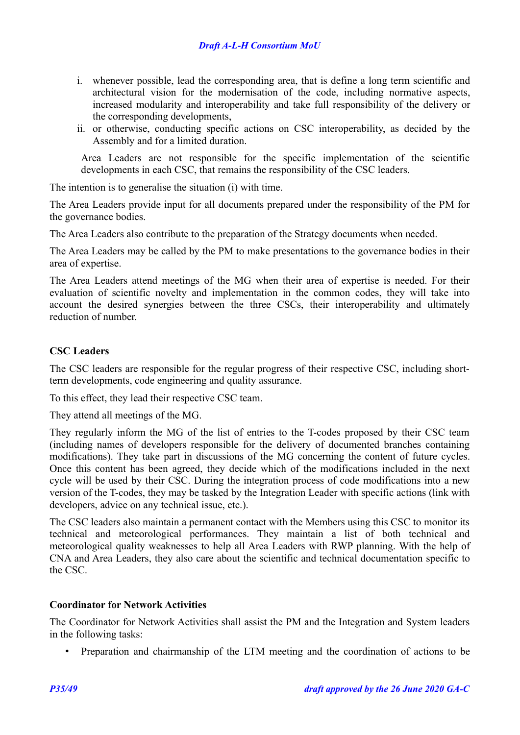- i. whenever possible, lead the corresponding area, that is define a long term scientific and architectural vision for the modernisation of the code, including normative aspects, increased modularity and interoperability and take full responsibility of the delivery or the corresponding developments,
- ii. or otherwise, conducting specific actions on CSC interoperability, as decided by the Assembly and for a limited duration.

Area Leaders are not responsible for the specific implementation of the scientific developments in each CSC, that remains the responsibility of the CSC leaders.

The intention is to generalise the situation (i) with time.

The Area Leaders provide input for all documents prepared under the responsibility of the PM for the governance bodies.

The Area Leaders also contribute to the preparation of the Strategy documents when needed.

The Area Leaders may be called by the PM to make presentations to the governance bodies in their area of expertise.

The Area Leaders attend meetings of the MG when their area of expertise is needed. For their evaluation of scientific novelty and implementation in the common codes, they will take into account the desired synergies between the three CSCs, their interoperability and ultimately reduction of number.

### **CSC Leaders**

The CSC leaders are responsible for the regular progress of their respective CSC, including shortterm developments, code engineering and quality assurance.

To this effect, they lead their respective CSC team.

They attend all meetings of the MG.

They regularly inform the MG of the list of entries to the T-codes proposed by their CSC team (including names of developers responsible for the delivery of documented branches containing modifications). They take part in discussions of the MG concerning the content of future cycles. Once this content has been agreed, they decide which of the modifications included in the next cycle will be used by their CSC. During the integration process of code modifications into a new version of the T-codes, they may be tasked by the Integration Leader with specific actions (link with developers, advice on any technical issue, etc.).

The CSC leaders also maintain a permanent contact with the Members using this CSC to monitor its technical and meteorological performances. They maintain a list of both technical and meteorological quality weaknesses to help all Area Leaders with RWP planning. With the help of CNA and Area Leaders, they also care about the scientific and technical documentation specific to the CSC.

### **Coordinator for Network Activities**

The Coordinator for Network Activities shall assist the PM and the Integration and System leaders in the following tasks:

• Preparation and chairmanship of the LTM meeting and the coordination of actions to be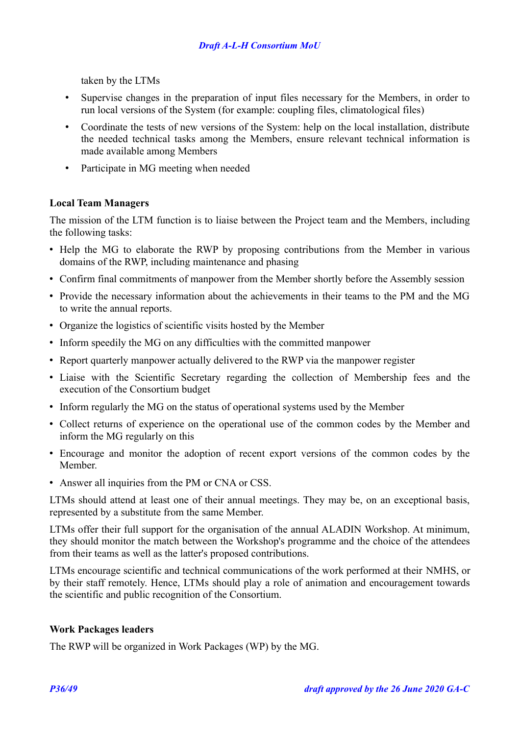taken by the LTMs

- Supervise changes in the preparation of input files necessary for the Members, in order to run local versions of the System (for example: coupling files, climatological files)
- Coordinate the tests of new versions of the System: help on the local installation, distribute the needed technical tasks among the Members, ensure relevant technical information is made available among Members
- Participate in MG meeting when needed

### **Local Team Managers**

The mission of the LTM function is to liaise between the Project team and the Members, including the following tasks:

- Help the MG to elaborate the RWP by proposing contributions from the Member in various domains of the RWP, including maintenance and phasing
- Confirm final commitments of manpower from the Member shortly before the Assembly session
- Provide the necessary information about the achievements in their teams to the PM and the MG to write the annual reports.
- Organize the logistics of scientific visits hosted by the Member
- Inform speedily the MG on any difficulties with the committed manpower
- Report quarterly manpower actually delivered to the RWP via the manpower register
- Liaise with the Scientific Secretary regarding the collection of Membership fees and the execution of the Consortium budget
- Inform regularly the MG on the status of operational systems used by the Member
- Collect returns of experience on the operational use of the common codes by the Member and inform the MG regularly on this
- Encourage and monitor the adoption of recent export versions of the common codes by the Member.
- Answer all inquiries from the PM or CNA or CSS.

LTMs should attend at least one of their annual meetings. They may be, on an exceptional basis, represented by a substitute from the same Member.

LTMs offer their full support for the organisation of the annual ALADIN Workshop. At minimum, they should monitor the match between the Workshop's programme and the choice of the attendees from their teams as well as the latter's proposed contributions.

LTMs encourage scientific and technical communications of the work performed at their NMHS, or by their staff remotely. Hence, LTMs should play a role of animation and encouragement towards the scientific and public recognition of the Consortium.

### **Work Packages leaders**

The RWP will be organized in Work Packages (WP) by the MG.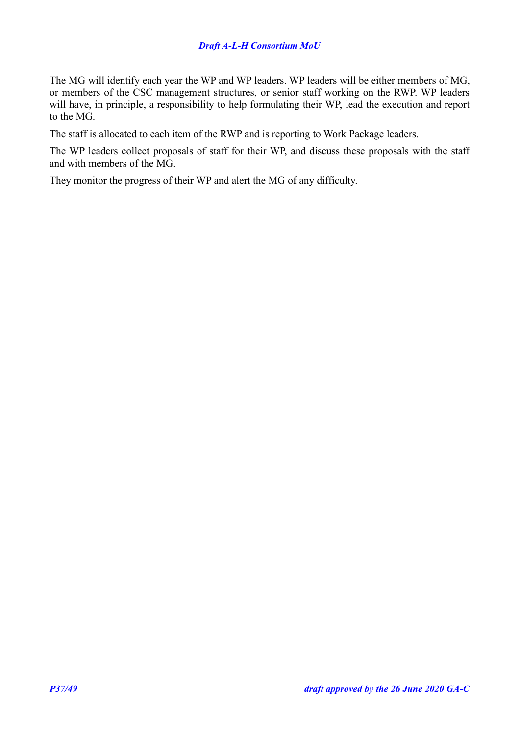### *Draft A-L-H Consortium MoU*

The MG will identify each year the WP and WP leaders. WP leaders will be either members of MG, or members of the CSC management structures, or senior staff working on the RWP. WP leaders will have, in principle, a responsibility to help formulating their WP, lead the execution and report to the MG.

The staff is allocated to each item of the RWP and is reporting to Work Package leaders.

The WP leaders collect proposals of staff for their WP, and discuss these proposals with the staff and with members of the MG.

They monitor the progress of their WP and alert the MG of any difficulty.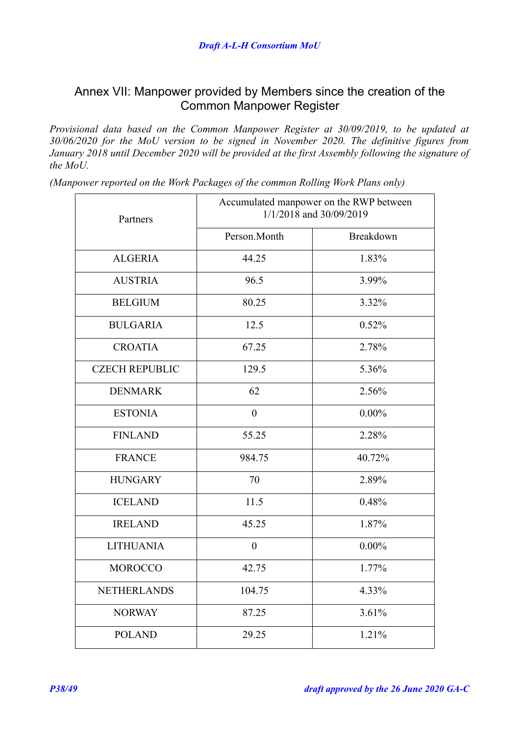### <span id="page-37-0"></span>Annex VII: Manpower provided by Members since the creation of the Common Manpower Register

*Provisional data based on the Common Manpower Register at 30/09/2019, to be updated at 30/06/2020 for the MoU version to be signed in November 2020. The definitive figures from January 2018 until December 2020 will be provided at the first Assembly following the signature of the MoU.*

*(Manpower reported on the Work Packages of the common Rolling Work Plans only)*

| Partners              | Accumulated manpower on the RWP between<br>1/1/2018 and 30/09/2019 |           |
|-----------------------|--------------------------------------------------------------------|-----------|
|                       | Person.Month                                                       | Breakdown |
| <b>ALGERIA</b>        | 44.25                                                              | 1.83%     |
| <b>AUSTRIA</b>        | 96.5                                                               | 3.99%     |
| <b>BELGIUM</b>        | 80.25                                                              | 3.32%     |
| <b>BULGARIA</b>       | 12.5                                                               | 0.52%     |
| <b>CROATIA</b>        | 67.25                                                              | 2.78%     |
| <b>CZECH REPUBLIC</b> | 129.5                                                              | 5.36%     |
| <b>DENMARK</b>        | 62                                                                 | 2.56%     |
| <b>ESTONIA</b>        | $\boldsymbol{0}$                                                   | $0.00\%$  |
| <b>FINLAND</b>        | 55.25                                                              | 2.28%     |
| <b>FRANCE</b>         | 984.75                                                             | 40.72%    |
| <b>HUNGARY</b>        | 70                                                                 | 2.89%     |
| <b>ICELAND</b>        | 11.5                                                               | 0.48%     |
| <b>IRELAND</b>        | 45.25                                                              | 1.87%     |
| <b>LITHUANIA</b>      | $\overline{0}$                                                     | $0.00\%$  |
| <b>MOROCCO</b>        | 42.75                                                              | 1.77%     |
| <b>NETHERLANDS</b>    | 104.75                                                             | 4.33%     |
| <b>NORWAY</b>         | 87.25                                                              | 3.61%     |
| <b>POLAND</b>         | 29.25                                                              | 1.21%     |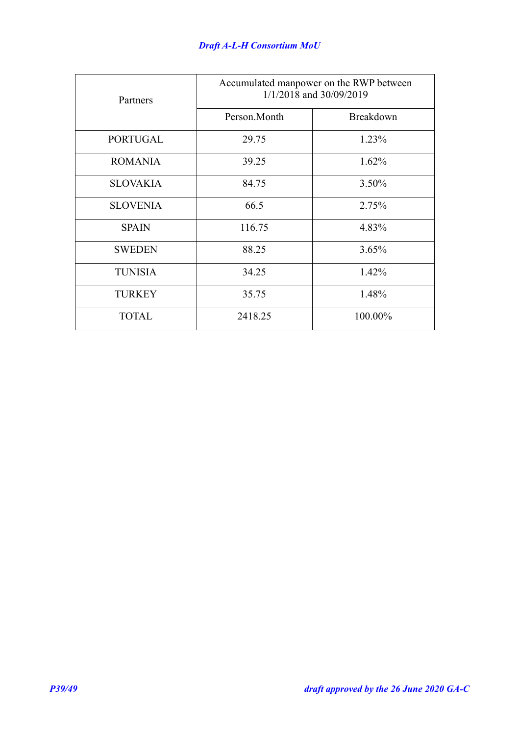| Partners        | Accumulated manpower on the RWP between<br>1/1/2018 and 30/09/2019 |           |
|-----------------|--------------------------------------------------------------------|-----------|
|                 | Person.Month                                                       | Breakdown |
| <b>PORTUGAL</b> | 29.75                                                              | 1.23%     |
| <b>ROMANIA</b>  | 39.25                                                              | 1.62%     |
| <b>SLOVAKIA</b> | 84.75                                                              | 3.50%     |
| <b>SLOVENIA</b> | 66.5                                                               | 2.75%     |
| <b>SPAIN</b>    | 116.75                                                             | 4.83%     |
| <b>SWEDEN</b>   | 88.25                                                              | 3.65%     |
| <b>TUNISIA</b>  | 34.25                                                              | 1.42%     |
| <b>TURKEY</b>   | 35.75                                                              | 1.48%     |
| <b>TOTAL</b>    | 2418.25                                                            | 100.00%   |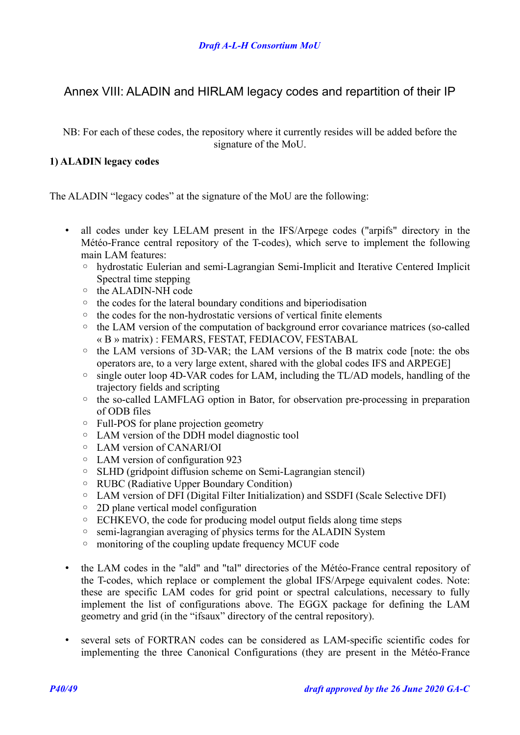## <span id="page-39-0"></span>Annex VIII: ALADIN and HIRLAM legacy codes and repartition of their IP

NB: For each of these codes, the repository where it currently resides will be added before the signature of the MoU.

### **1) ALADIN legacy codes**

The ALADIN "legacy codes" at the signature of the MoU are the following:

- all codes under key LELAM present in the IFS/Arpege codes ("arpifs" directory in the Météo-France central repository of the T-codes), which serve to implement the following main LAM features:
	- hydrostatic Eulerian and semi-Lagrangian Semi-Implicit and Iterative Centered Implicit Spectral time stepping
	- the ALADIN-NH code
	- the codes for the lateral boundary conditions and biperiodisation
	- the codes for the non-hydrostatic versions of vertical finite elements
	- the LAM version of the computation of background error covariance matrices (so-called « B » matrix) : FEMARS, FESTAT, FEDIACOV, FESTABAL
	- the LAM versions of 3D-VAR; the LAM versions of the B matrix code [note: the obs operators are, to a very large extent, shared with the global codes IFS and ARPEGE]
	- single outer loop 4D-VAR codes for LAM, including the TL/AD models, handling of the trajectory fields and scripting
	- the so-called LAMFLAG option in Bator, for observation pre-processing in preparation of ODB files
	- Full-POS for plane projection geometry
	- LAM version of the DDH model diagnostic tool
	- LAM version of CANARI/OI
	- LAM version of configuration 923
	- SLHD (gridpoint diffusion scheme on Semi-Lagrangian stencil)
	- RUBC (Radiative Upper Boundary Condition)
	- LAM version of DFI (Digital Filter Initialization) and SSDFI (Scale Selective DFI)
	- 2D plane vertical model configuration
	- ECHKEVO, the code for producing model output fields along time steps
	- semi-lagrangian averaging of physics terms for the ALADIN System
	- monitoring of the coupling update frequency MCUF code
- the LAM codes in the "ald" and "tal" directories of the Météo-France central repository of the T-codes, which replace or complement the global IFS/Arpege equivalent codes. Note: these are specific LAM codes for grid point or spectral calculations, necessary to fully implement the list of configurations above. The EGGX package for defining the LAM geometry and grid (in the "ifsaux" directory of the central repository).
- several sets of FORTRAN codes can be considered as LAM-specific scientific codes for implementing the three Canonical Configurations (they are present in the Météo-France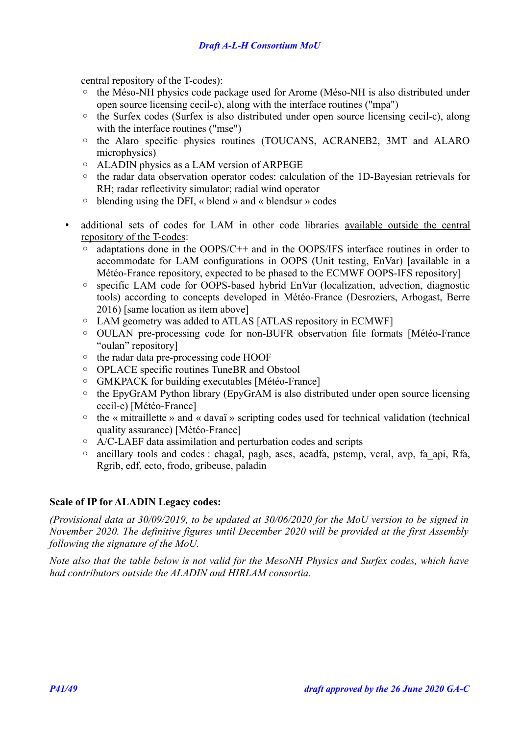central repository of the T-codes):

- the Méso-NH physics code package used for Arome (Méso-NH is also distributed under open source licensing cecil-c), along with the interface routines ("mpa")
- the Surfex codes (Surfex is also distributed under open source licensing cecil-c), along with the interface routines ("mse")
- the Alaro specific physics routines (TOUCANS, ACRANEB2, 3MT and ALARO microphysics)
- ALADIN physics as a LAM version of ARPEGE
- the radar data observation operator codes: calculation of the 1D-Bayesian retrievals for RH; radar reflectivity simulator; radial wind operator
- blending using the DFI, « blend » and « blendsur » codes
- additional sets of codes for LAM in other code libraries available outside the central repository of the T-codes:
	- adaptations done in the OOPS/C++ and in the OOPS/IFS interface routines in order to accommodate for LAM configurations in OOPS (Unit testing, EnVar) [available in a Météo-France repository, expected to be phased to the ECMWF OOPS-IFS repository]
	- specific LAM code for OOPS-based hybrid EnVar (localization, advection, diagnostic tools) according to concepts developed in Météo-France (Desroziers, Arbogast, Berre 2016) [same location as item above]
	- LAM geometry was added to ATLAS [ATLAS repository in ECMWF]
	- OULAN pre-processing code for non-BUFR observation file formats [Météo-France "oulan" repository]
	- the radar data pre-processing code HOOF
	- OPLACE specific routines TuneBR and Obstool
	- GMKPACK for building executables [Météo-France]
	- the EpyGrAM Python library (EpyGrAM is also distributed under open source licensing cecil-c) [Météo-France]
	- the « mitraillette » and « davaï » scripting codes used for technical validation (technical quality assurance) [Météo-France]
	- A/C-LAEF data assimilation and perturbation codes and scripts
	- ancillary tools and codes : chagal, pagb, ascs, acadfa, pstemp, veral, avp, fa\_api, Rfa, Rgrib, edf, ecto, frodo, gribeuse, paladin

### **Scale of IP for ALADIN Legacy codes:**

*(Provisional data at 30/09/2019, to be updated at 30/06/2020 for the MoU version to be signed in November 2020. The definitive figures until December 2020 will be provided at the first Assembly following the signature of the MoU.*

*Note also that the table below is not valid for the MesoNH Physics and Surfex codes, which have had contributors outside the ALADIN and HIRLAM consortia.*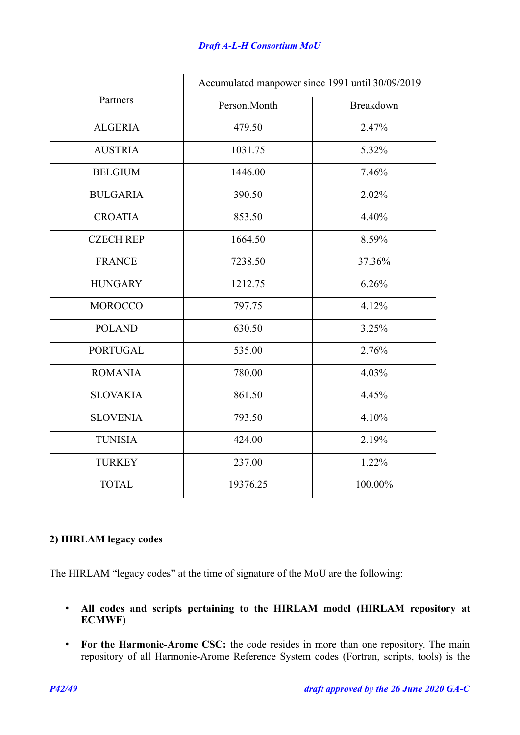|                  |              | Accumulated manpower since 1991 until 30/09/2019 |
|------------------|--------------|--------------------------------------------------|
| Partners         | Person.Month | Breakdown                                        |
| <b>ALGERIA</b>   | 479.50       | 2.47%                                            |
| <b>AUSTRIA</b>   | 1031.75      | 5.32%                                            |
| <b>BELGIUM</b>   | 1446.00      | 7.46%                                            |
| <b>BULGARIA</b>  | 390.50       | 2.02%                                            |
| <b>CROATIA</b>   | 853.50       | 4.40%                                            |
| <b>CZECH REP</b> | 1664.50      | 8.59%                                            |
| <b>FRANCE</b>    | 7238.50      | 37.36%                                           |
| <b>HUNGARY</b>   | 1212.75      | 6.26%                                            |
| <b>MOROCCO</b>   | 797.75       | 4.12%                                            |
| <b>POLAND</b>    | 630.50       | 3.25%                                            |
| <b>PORTUGAL</b>  | 535.00       | 2.76%                                            |
| <b>ROMANIA</b>   | 780.00       | 4.03%                                            |
| <b>SLOVAKIA</b>  | 861.50       | 4.45%                                            |
| <b>SLOVENIA</b>  | 793.50       | 4.10%                                            |
| <b>TUNISIA</b>   | 424.00       | 2.19%                                            |
| <b>TURKEY</b>    | 237.00       | 1.22%                                            |
| <b>TOTAL</b>     | 19376.25     | 100.00%                                          |

### **2) HIRLAM legacy codes**

The HIRLAM "legacy codes" at the time of signature of the MoU are the following:

- **All codes and scripts pertaining to the HIRLAM model (HIRLAM repository at ECMWF)**
- **For the Harmonie-Arome CSC:** the code resides in more than one repository. The main repository of all Harmonie-Arome Reference System codes (Fortran, scripts, tools) is the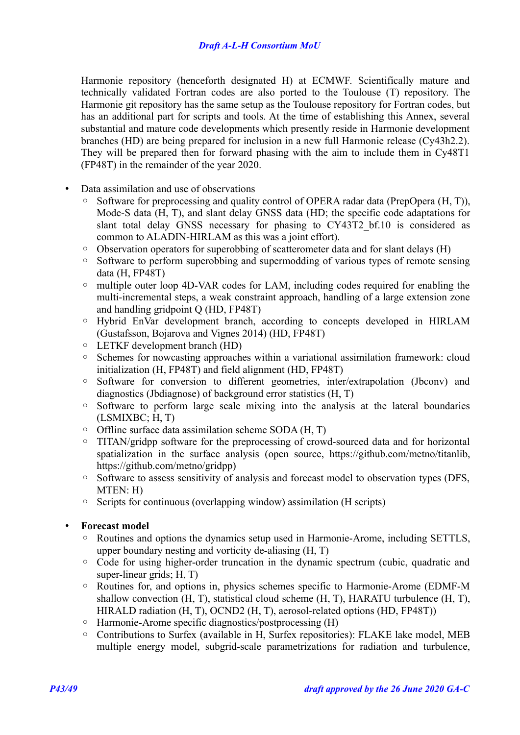Harmonie repository (henceforth designated H) at ECMWF. Scientifically mature and technically validated Fortran codes are also ported to the Toulouse (T) repository. The Harmonie git repository has the same setup as the Toulouse repository for Fortran codes, but has an additional part for scripts and tools. At the time of establishing this Annex, several substantial and mature code developments which presently reside in Harmonie development branches (HD) are being prepared for inclusion in a new full Harmonie release (Cy43h2.2). They will be prepared then for forward phasing with the aim to include them in Cy48T1 (FP48T) in the remainder of the year 2020.

- Data assimilation and use of observations
	- Software for preprocessing and quality control of OPERA radar data (PrepOpera (H, T)), Mode-S data (H, T), and slant delay GNSS data (HD; the specific code adaptations for slant total delay GNSS necessary for phasing to CY43T2 bf.10 is considered as common to ALADIN-HIRLAM as this was a joint effort).
	- Observation operators for superobbing of scatterometer data and for slant delays (H)
	- Software to perform superobbing and supermodding of various types of remote sensing data (H, FP48T)
	- multiple outer loop 4D-VAR codes for LAM, including codes required for enabling the multi-incremental steps, a weak constraint approach, handling of a large extension zone and handling gridpoint Q (HD, FP48T)
	- Hybrid EnVar development branch, according to concepts developed in HIRLAM (Gustafsson, Bojarova and Vignes 2014) (HD, FP48T)
	- LETKF development branch (HD)
	- Schemes for nowcasting approaches within a variational assimilation framework: cloud initialization (H, FP48T) and field alignment (HD, FP48T)
	- Software for conversion to different geometries, inter/extrapolation (Jbconv) and diagnostics (Jbdiagnose) of background error statistics (H, T)
	- Software to perform large scale mixing into the analysis at the lateral boundaries (LSMIXBC; H, T)
	- Offline surface data assimilation scheme SODA (H, T)
	- TITAN/gridpp software for the preprocessing of crowd-sourced data and for horizontal spatialization in the surface analysis (open source, https://github.com/metno/titanlib, https://github.com/metno/gridpp)
	- Software to assess sensitivity of analysis and forecast model to observation types (DFS, MTEN: H)
	- Scripts for continuous (overlapping window) assimilation (H scripts)

### • **Forecast model**

- Routines and options the dynamics setup used in Harmonie-Arome, including SETTLS, upper boundary nesting and vorticity de-aliasing (H, T)
- Code for using higher-order truncation in the dynamic spectrum (cubic, quadratic and super-linear grids; H, T)
- Routines for, and options in, physics schemes specific to Harmonie-Arome (EDMF-M shallow convection (H, T), statistical cloud scheme (H, T), HARATU turbulence (H, T), HIRALD radiation (H, T), OCND2 (H, T), aerosol-related options (HD, FP48T))
- Harmonie-Arome specific diagnostics/postprocessing (H)
- Contributions to Surfex (available in H, Surfex repositories): FLAKE lake model, MEB multiple energy model, subgrid-scale parametrizations for radiation and turbulence,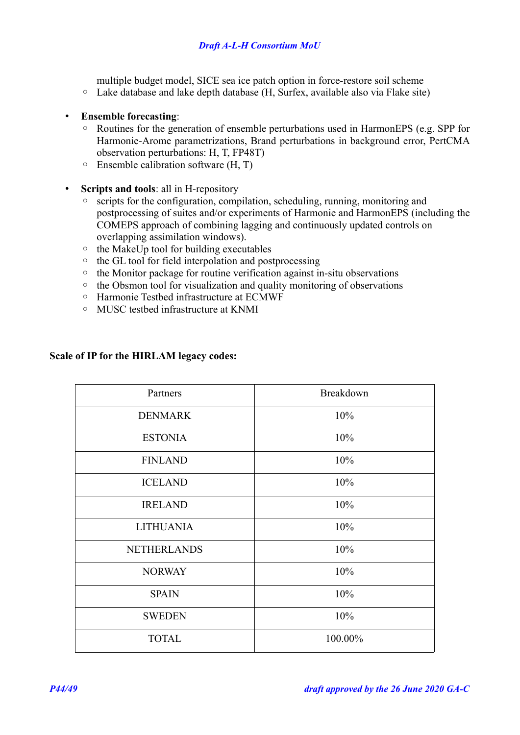multiple budget model, SICE sea ice patch option in force-restore soil scheme

- Lake database and lake depth database (H, Surfex, available also via Flake site)
- **Ensemble forecasting**:
	- Routines for the generation of ensemble perturbations used in HarmonEPS (e.g. SPP for Harmonie-Arome parametrizations, Brand perturbations in background error, PertCMA observation perturbations: H, T, FP48T)
	- Ensemble calibration software (H, T)
- **Scripts and tools**: all in H-repository
	- scripts for the configuration, compilation, scheduling, running, monitoring and postprocessing of suites and/or experiments of Harmonie and HarmonEPS (including the COMEPS approach of combining lagging and continuously updated controls on overlapping assimilation windows).
	- the MakeUp tool for building executables
	- the GL tool for field interpolation and postprocessing
	- the Monitor package for routine verification against in-situ observations
	- the Obsmon tool for visualization and quality monitoring of observations
	- Harmonie Testbed infrastructure at ECMWF
	- MUSC testbed infrastructure at KNMI

### **Scale of IP for the HIRLAM legacy codes:**

| Partners           | Breakdown |
|--------------------|-----------|
| <b>DENMARK</b>     | 10%       |
| <b>ESTONIA</b>     | 10%       |
| <b>FINLAND</b>     | 10%       |
| <b>ICELAND</b>     | 10%       |
| <b>IRELAND</b>     | 10%       |
| <b>LITHUANIA</b>   | 10%       |
| <b>NETHERLANDS</b> | 10%       |
| <b>NORWAY</b>      | 10%       |
| <b>SPAIN</b>       | 10%       |
| <b>SWEDEN</b>      | 10%       |
| <b>TOTAL</b>       | 100.00%   |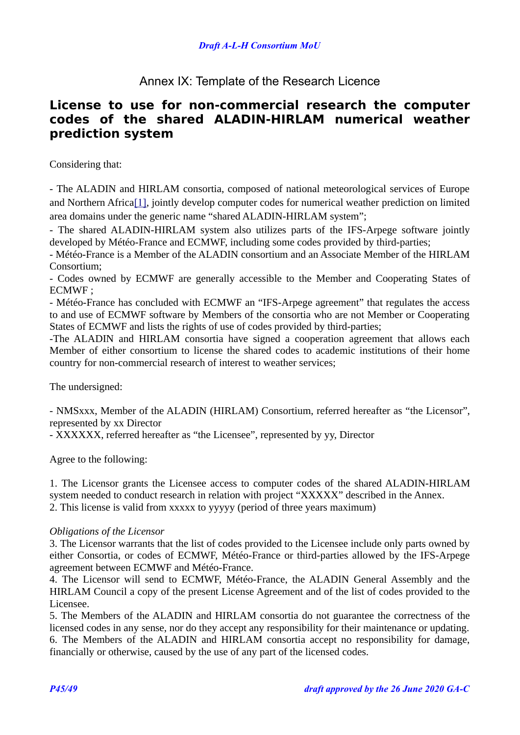## <span id="page-44-0"></span>Annex IX: Template of the Research Licence

## **License to use for non-commercial research the computer codes of the shared ALADIN-HIRLAM numerical weather prediction system**

Considering that:

<span id="page-44-1"></span>- The ALADIN and HIRLAM consortia, composed of national meteorological services of Europe and Northern Africa<sup>[1]</sup>, jointly develop computer codes for numerical weather prediction on limited area domains under the generic name "shared ALADIN-HIRLAM system";

- The shared ALADIN-HIRLAM system also utilizes parts of the IFS-Arpege software jointly developed by Météo-France and ECMWF, including some codes provided by third-parties;

- Météo-France is a Member of the ALADIN consortium and an Associate Member of the HIRLAM Consortium;

- Codes owned by ECMWF are generally accessible to the Member and Cooperating States of ECMWF ;

- Météo-France has concluded with ECMWF an "IFS-Arpege agreement" that regulates the access to and use of ECMWF software by Members of the consortia who are not Member or Cooperating States of ECMWF and lists the rights of use of codes provided by third-parties;

-The ALADIN and HIRLAM consortia have signed a cooperation agreement that allows each Member of either consortium to license the shared codes to academic institutions of their home country for non-commercial research of interest to weather services;

The undersigned:

- NMSxxx, Member of the ALADIN (HIRLAM) Consortium, referred hereafter as "the Licensor", represented by xx Director

- XXXXXX, referred hereafter as "the Licensee", represented by yy, Director

Agree to the following:

1. The Licensor grants the Licensee access to computer codes of the shared ALADIN-HIRLAM system needed to conduct research in relation with project "XXXXX" described in the Annex. 2. This license is valid from xxxxx to yyyyy (period of three years maximum)

### *Obligations of the Licensor*

3. The Licensor warrants that the list of codes provided to the Licensee include only parts owned by either Consortia, or codes of ECMWF, Météo-France or third-parties allowed by the IFS-Arpege agreement between ECMWF and Météo-France.

4. The Licensor will send to ECMWF, Météo-France, the ALADIN General Assembly and the HIRLAM Council a copy of the present License Agreement and of the list of codes provided to the Licensee.

5. The Members of the ALADIN and HIRLAM consortia do not guarantee the correctness of the licensed codes in any sense, nor do they accept any responsibility for their maintenance or updating. 6. The Members of the ALADIN and HIRLAM consortia accept no responsibility for damage, financially or otherwise, caused by the use of any part of the licensed codes.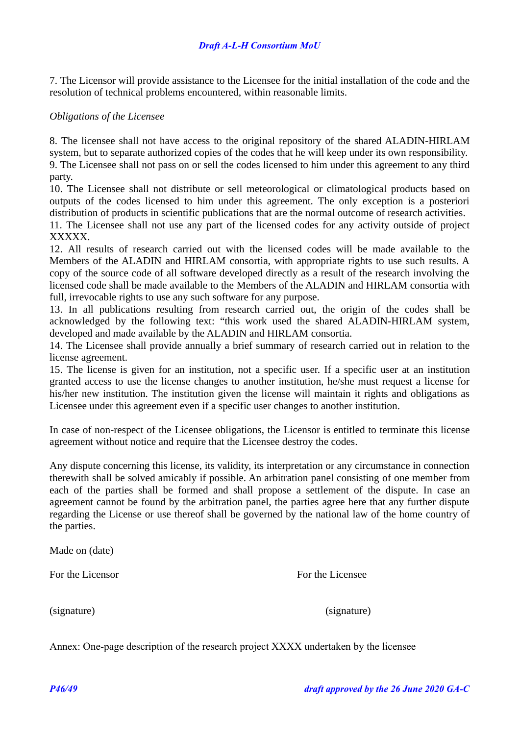### *Draft A-L-H Consortium MoU*

7. The Licensor will provide assistance to the Licensee for the initial installation of the code and the resolution of technical problems encountered, within reasonable limits.

#### *Obligations of the Licensee*

8. The licensee shall not have access to the original repository of the shared ALADIN-HIRLAM system, but to separate authorized copies of the codes that he will keep under its own responsibility. 9. The Licensee shall not pass on or sell the codes licensed to him under this agreement to any third party.

10. The Licensee shall not distribute or sell meteorological or climatological products based on outputs of the codes licensed to him under this agreement. The only exception is a posteriori distribution of products in scientific publications that are the normal outcome of research activities. 11. The Licensee shall not use any part of the licensed codes for any activity outside of project XXXXX.

12. All results of research carried out with the licensed codes will be made available to the Members of the ALADIN and HIRLAM consortia, with appropriate rights to use such results. A copy of the source code of all software developed directly as a result of the research involving the licensed code shall be made available to the Members of the ALADIN and HIRLAM consortia with full, irrevocable rights to use any such software for any purpose.

13. In all publications resulting from research carried out, the origin of the codes shall be acknowledged by the following text: "this work used the shared ALADIN-HIRLAM system, developed and made available by the ALADIN and HIRLAM consortia.

14. The Licensee shall provide annually a brief summary of research carried out in relation to the license agreement.

15. The license is given for an institution, not a specific user. If a specific user at an institution granted access to use the license changes to another institution, he/she must request a license for his/her new institution. The institution given the license will maintain it rights and obligations as Licensee under this agreement even if a specific user changes to another institution.

In case of non-respect of the Licensee obligations, the Licensor is entitled to terminate this license agreement without notice and require that the Licensee destroy the codes.

Any dispute concerning this license, its validity, its interpretation or any circumstance in connection therewith shall be solved amicably if possible. An arbitration panel consisting of one member from each of the parties shall be formed and shall propose a settlement of the dispute. In case an agreement cannot be found by the arbitration panel, the parties agree here that any further dispute regarding the License or use thereof shall be governed by the national law of the home country of the parties.

Made on (date)

For the Licensor **For the Licensee** 

(signature) (signature)

Annex: One-page description of the research project XXXX undertaken by the licensee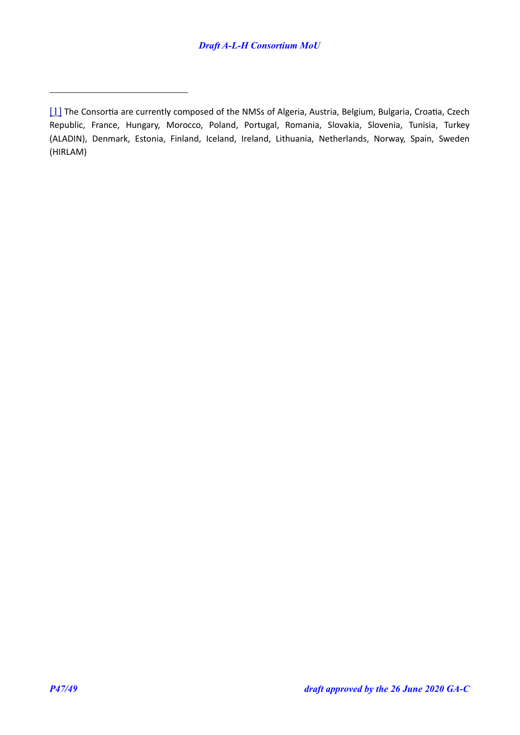<span id="page-46-0"></span>[<sup>\[1\]</sup>](#page-44-1) The Consortia are currently composed of the NMSs of Algeria, Austria, Belgium, Bulgaria, Croatia, Czech Republic, France, Hungary, Morocco, Poland, Portugal, Romania, Slovakia, Slovenia, Tunisia, Turkey (ALADIN), Denmark, Estonia, Finland, Iceland, Ireland, Lithuania, Netherlands, Norway, Spain, Sweden (HIRLAM)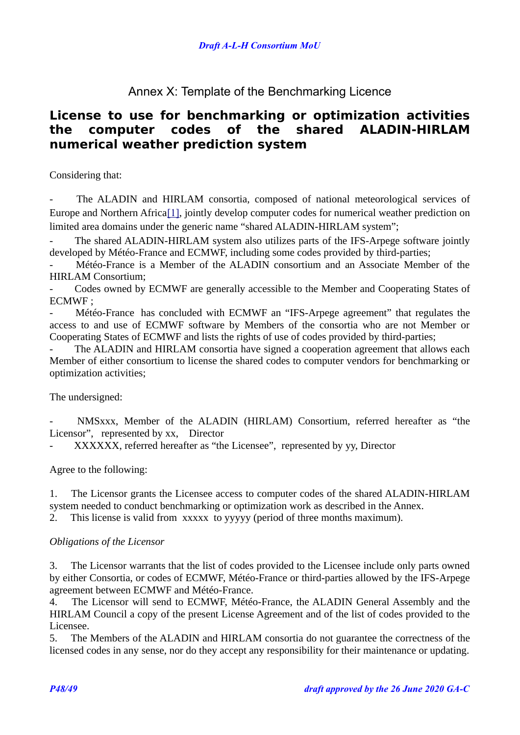### <span id="page-47-0"></span>Annex X: Template of the Benchmarking Licence

## **License to use for benchmarking or optimization activities the computer codes of the shared ALADIN-HIRLAM numerical weather prediction system**

Considering that:

- The ALADIN and HIRLAM consortia, composed of national meteorological services of Europe and Northern Africa<sup>[\[1\]](#page-46-0)</sup>, jointly develop computer codes for numerical weather prediction on limited area domains under the generic name "shared ALADIN-HIRLAM system";

The shared ALADIN-HIRLAM system also utilizes parts of the IFS-Arpege software jointly developed by Météo-France and ECMWF, including some codes provided by third-parties;

- Météo-France is a Member of the ALADIN consortium and an Associate Member of the HIRLAM Consortium;

Codes owned by ECMWF are generally accessible to the Member and Cooperating States of ECMWF ;

Météo-France has concluded with ECMWF an "IFS-Arpege agreement" that regulates the access to and use of ECMWF software by Members of the consortia who are not Member or Cooperating States of ECMWF and lists the rights of use of codes provided by third-parties;

The ALADIN and HIRLAM consortia have signed a cooperation agreement that allows each Member of either consortium to license the shared codes to computer vendors for benchmarking or optimization activities;

### The undersigned:

NMSxxx, Member of the ALADIN (HIRLAM) Consortium, referred hereafter as "the Licensor", represented by xx, Director

XXXXXX, referred hereafter as "the Licensee", represented by yy, Director

Agree to the following:

1. The Licensor grants the Licensee access to computer codes of the shared ALADIN-HIRLAM system needed to conduct benchmarking or optimization work as described in the Annex.

2. This license is valid from xxxxx to yyyyy (period of three months maximum).

### *Obligations of the Licensor*

3. The Licensor warrants that the list of codes provided to the Licensee include only parts owned by either Consortia, or codes of ECMWF, Météo-France or third-parties allowed by the IFS-Arpege agreement between ECMWF and Météo-France.

4. The Licensor will send to ECMWF, Météo-France, the ALADIN General Assembly and the HIRLAM Council a copy of the present License Agreement and of the list of codes provided to the Licensee.

5. The Members of the ALADIN and HIRLAM consortia do not guarantee the correctness of the licensed codes in any sense, nor do they accept any responsibility for their maintenance or updating.